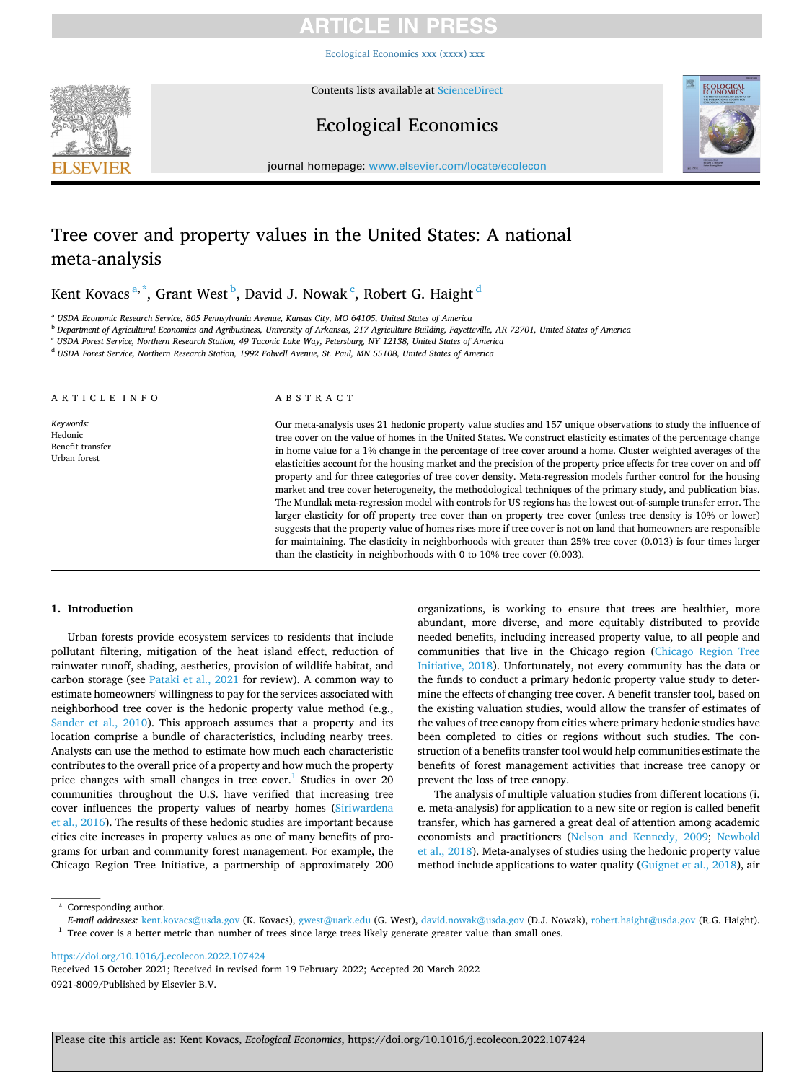[Ecological Economics xxx \(xxxx\) xxx](https://doi.org/10.1016/j.ecolecon.2022.107424)



Contents lists available at [ScienceDirect](www.sciencedirect.com/science/journal/09218009)

### Ecological Economics



journal homepage: [www.elsevier.com/locate/ecolecon](https://www.elsevier.com/locate/ecolecon)

### Tree cover and property values in the United States: A national meta-analysis

Kent Kovacs $^{\mathrm{a},\mathrm{*}}$ , Grant West $^{\mathrm{b}}$ , David J. Nowak $^{\mathrm{c}}$ , Robert G. Haight $^{\mathrm{d}}$ 

<sup>a</sup> *USDA Economic Research Service, 805 Pennsylvania Avenue, Kansas City, MO 64105, United States of America* 

<sup>b</sup> *Department of Agricultural Economics and Agribusiness, University of Arkansas, 217 Agriculture Building, Fayetteville, AR 72701, United States of America* 

<sup>c</sup> *USDA Forest Service, Northern Research Station, 49 Taconic Lake Way, Petersburg, NY 12138, United States of America* 

<sup>d</sup> *USDA Forest Service, Northern Research Station, 1992 Folwell Avenue, St. Paul, MN 55108, United States of America* 

#### ARTICLE INFO

*Keywords:*  Hedonic Benefit transfer Urban forest

#### ABSTRACT

Our meta-analysis uses 21 hedonic property value studies and 157 unique observations to study the influence of tree cover on the value of homes in the United States. We construct elasticity estimates of the percentage change in home value for a 1% change in the percentage of tree cover around a home. Cluster weighted averages of the elasticities account for the housing market and the precision of the property price effects for tree cover on and off property and for three categories of tree cover density. Meta-regression models further control for the housing market and tree cover heterogeneity, the methodological techniques of the primary study, and publication bias. The Mundlak meta-regression model with controls for US regions has the lowest out-of-sample transfer error. The larger elasticity for off property tree cover than on property tree cover (unless tree density is 10% or lower) suggests that the property value of homes rises more if tree cover is not on land that homeowners are responsible for maintaining. The elasticity in neighborhoods with greater than 25% tree cover (0.013) is four times larger than the elasticity in neighborhoods with 0 to 10% tree cover (0.003).

#### **1. Introduction**

Urban forests provide ecosystem services to residents that include pollutant filtering, mitigation of the heat island effect, reduction of rainwater runoff, shading, aesthetics, provision of wildlife habitat, and carbon storage (see [Pataki et al., 2021](#page-12-0) for review). A common way to estimate homeowners' willingness to pay for the services associated with neighborhood tree cover is the hedonic property value method (e.g., [Sander et al., 2010](#page-12-0)). This approach assumes that a property and its location comprise a bundle of characteristics, including nearby trees. Analysts can use the method to estimate how much each characteristic contributes to the overall price of a property and how much the property price changes with small changes in tree cover.<sup>1</sup> Studies in over 20 communities throughout the U.S. have verified that increasing tree cover influences the property values of nearby homes [\(Siriwardena](#page-12-0)  [et al., 2016](#page-12-0)). The results of these hedonic studies are important because cities cite increases in property values as one of many benefits of programs for urban and community forest management. For example, the Chicago Region Tree Initiative, a partnership of approximately 200

organizations, is working to ensure that trees are healthier, more abundant, more diverse, and more equitably distributed to provide needed benefits, including increased property value, to all people and communities that live in the Chicago region ([Chicago Region Tree](#page-11-0)  [Initiative, 2018\)](#page-11-0). Unfortunately, not every community has the data or the funds to conduct a primary hedonic property value study to determine the effects of changing tree cover. A benefit transfer tool, based on the existing valuation studies, would allow the transfer of estimates of the values of tree canopy from cities where primary hedonic studies have been completed to cities or regions without such studies. The construction of a benefits transfer tool would help communities estimate the benefits of forest management activities that increase tree canopy or prevent the loss of tree canopy.

The analysis of multiple valuation studies from different locations (i. e. meta-analysis) for application to a new site or region is called benefit transfer, which has garnered a great deal of attention among academic economists and practitioners [\(Nelson and Kennedy, 2009;](#page-12-0) [Newbold](#page-12-0)  [et al., 2018](#page-12-0)). Meta-analyses of studies using the hedonic property value method include applications to water quality [\(Guignet et al., 2018\)](#page-12-0), air

<https://doi.org/10.1016/j.ecolecon.2022.107424>

0921-8009/Published by Elsevier B.V. Received 15 October 2021; Received in revised form 19 February 2022; Accepted 20 March 2022

<sup>\*</sup> Corresponding author.<br>E-mail addresses: kent.kovacs@usda.gov (K. Kovacs), gwest@uark.edu (G. West), david.nowak@usda.gov (D.J. Nowak), robert.haight@usda.gov (R.G. Haight).  $^1$  Tree cover is a better metric than number of trees since large trees likely generate greater value than small ones.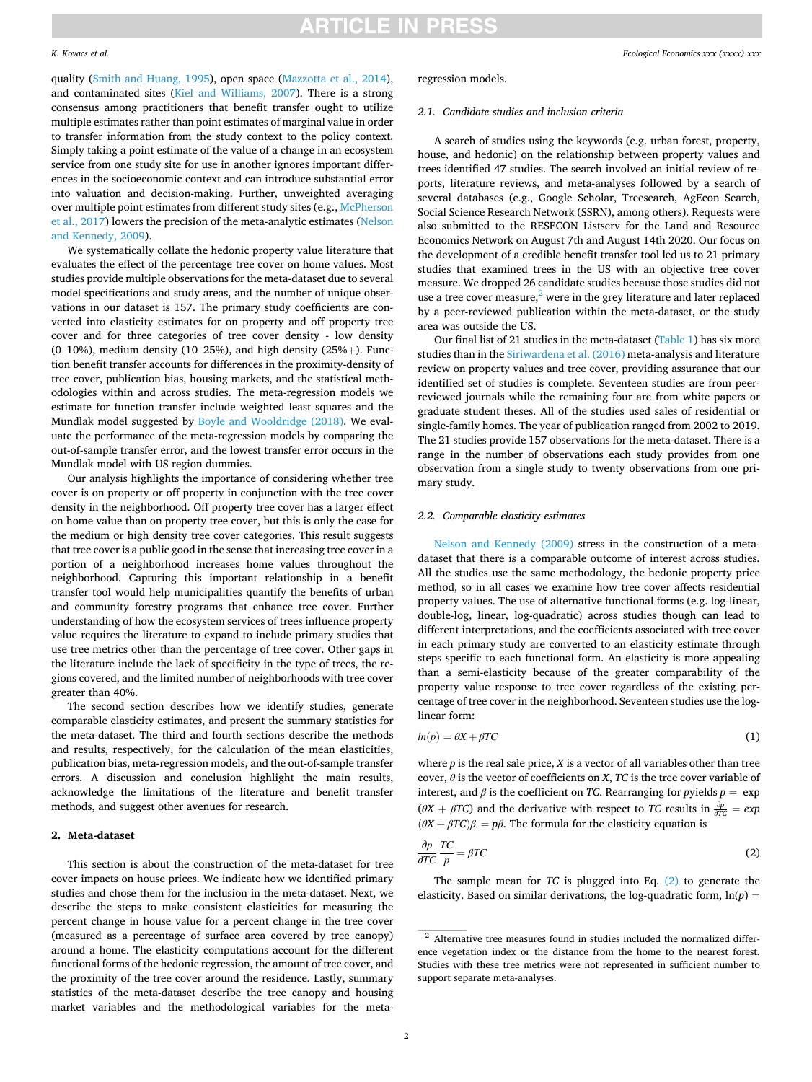#### *K. Kovacs et al.*

*Ecological Economics xxx (xxxx) xxx*

quality [\(Smith and Huang, 1995\)](#page-12-0), open space [\(Mazzotta et al., 2014](#page-12-0)), and contaminated sites [\(Kiel and Williams, 2007\)](#page-12-0). There is a strong consensus among practitioners that benefit transfer ought to utilize multiple estimates rather than point estimates of marginal value in order to transfer information from the study context to the policy context. Simply taking a point estimate of the value of a change in an ecosystem service from one study site for use in another ignores important differences in the socioeconomic context and can introduce substantial error into valuation and decision-making. Further, unweighted averaging over multiple point estimates from different study sites (e.g., [McPherson](#page-12-0)  [et al., 2017](#page-12-0)) lowers the precision of the meta-analytic estimates ([Nelson](#page-12-0)  [and Kennedy, 2009](#page-12-0)).

We systematically collate the hedonic property value literature that evaluates the effect of the percentage tree cover on home values. Most studies provide multiple observations for the meta-dataset due to several model specifications and study areas, and the number of unique observations in our dataset is 157. The primary study coefficients are converted into elasticity estimates for on property and off property tree cover and for three categories of tree cover density - low density  $(0-10\%)$ , medium density (10–25%), and high density (25%+). Function benefit transfer accounts for differences in the proximity-density of tree cover, publication bias, housing markets, and the statistical methodologies within and across studies. The meta-regression models we estimate for function transfer include weighted least squares and the Mundlak model suggested by [Boyle and Wooldridge \(2018\)](#page-11-0). We evaluate the performance of the meta-regression models by comparing the out-of-sample transfer error, and the lowest transfer error occurs in the Mundlak model with US region dummies.

Our analysis highlights the importance of considering whether tree cover is on property or off property in conjunction with the tree cover density in the neighborhood. Off property tree cover has a larger effect on home value than on property tree cover, but this is only the case for the medium or high density tree cover categories. This result suggests that tree cover is a public good in the sense that increasing tree cover in a portion of a neighborhood increases home values throughout the neighborhood. Capturing this important relationship in a benefit transfer tool would help municipalities quantify the benefits of urban and community forestry programs that enhance tree cover. Further understanding of how the ecosystem services of trees influence property value requires the literature to expand to include primary studies that use tree metrics other than the percentage of tree cover. Other gaps in the literature include the lack of specificity in the type of trees, the regions covered, and the limited number of neighborhoods with tree cover greater than 40%.

The second section describes how we identify studies, generate comparable elasticity estimates, and present the summary statistics for the meta-dataset. The third and fourth sections describe the methods and results, respectively, for the calculation of the mean elasticities, publication bias, meta-regression models, and the out-of-sample transfer errors. A discussion and conclusion highlight the main results, acknowledge the limitations of the literature and benefit transfer methods, and suggest other avenues for research.

#### **2. Meta-dataset**

This section is about the construction of the meta-dataset for tree cover impacts on house prices. We indicate how we identified primary studies and chose them for the inclusion in the meta-dataset. Next, we describe the steps to make consistent elasticities for measuring the percent change in house value for a percent change in the tree cover (measured as a percentage of surface area covered by tree canopy) around a home. The elasticity computations account for the different functional forms of the hedonic regression, the amount of tree cover, and the proximity of the tree cover around the residence. Lastly, summary statistics of the meta-dataset describe the tree canopy and housing market variables and the methodological variables for the meta-

#### regression models.

#### *2.1. Candidate studies and inclusion criteria*

A search of studies using the keywords (e.g. urban forest, property, house, and hedonic) on the relationship between property values and trees identified 47 studies. The search involved an initial review of reports, literature reviews, and meta-analyses followed by a search of several databases (e.g., Google Scholar, Treesearch, AgEcon Search, Social Science Research Network (SSRN), among others). Requests were also submitted to the RESECON Listserv for the Land and Resource Economics Network on August 7th and August 14th 2020. Our focus on the development of a credible benefit transfer tool led us to 21 primary studies that examined trees in the US with an objective tree cover measure. We dropped 26 candidate studies because those studies did not use a tree cover measure, $<sup>2</sup>$  were in the grey literature and later replaced</sup> by a peer-reviewed publication within the meta-dataset, or the study area was outside the US.

Our final list of 21 studies in the meta-dataset [\(Table 1](#page-2-0)) has six more studies than in the [Siriwardena et al. \(2016\)](#page-12-0) meta-analysis and literature review on property values and tree cover, providing assurance that our identified set of studies is complete. Seventeen studies are from peerreviewed journals while the remaining four are from white papers or graduate student theses. All of the studies used sales of residential or single-family homes. The year of publication ranged from 2002 to 2019. The 21 studies provide 157 observations for the meta-dataset. There is a range in the number of observations each study provides from one observation from a single study to twenty observations from one primary study.

#### *2.2. Comparable elasticity estimates*

[Nelson and Kennedy \(2009\)](#page-12-0) stress in the construction of a metadataset that there is a comparable outcome of interest across studies. All the studies use the same methodology, the hedonic property price method, so in all cases we examine how tree cover affects residential property values. The use of alternative functional forms (e.g. log-linear, double-log, linear, log-quadratic) across studies though can lead to different interpretations, and the coefficients associated with tree cover in each primary study are converted to an elasticity estimate through steps specific to each functional form. An elasticity is more appealing than a semi-elasticity because of the greater comparability of the property value response to tree cover regardless of the existing percentage of tree cover in the neighborhood. Seventeen studies use the loglinear form:

$$
ln(p) = \theta X + \beta TC \tag{1}
$$

where *p* is the real sale price, *X* is a vector of all variables other than tree cover,  $\theta$  is the vector of coefficients on *X*, *TC* is the tree cover variable of interest, and  $\beta$  is the coefficient on *TC*. Rearranging for *pyields*  $p = \exp(-\beta t)$  $(\theta X + \beta T C)$  and the derivative with respect to *TC* results in  $\frac{\partial p}{\partial T C} = exp$  $(\theta X + \beta T C)\beta = p\beta$ . The formula for the elasticity equation is

$$
\frac{\partial p}{\partial TC} \frac{TC}{p} = \beta TC \tag{2}
$$

The sample mean for *TC* is plugged into Eq. (2) to generate the elasticity. Based on similar derivations, the log-quadratic form,  $ln(p)$  =

<sup>2</sup> Alternative tree measures found in studies included the normalized difference vegetation index or the distance from the home to the nearest forest. Studies with these tree metrics were not represented in sufficient number to support separate meta-analyses.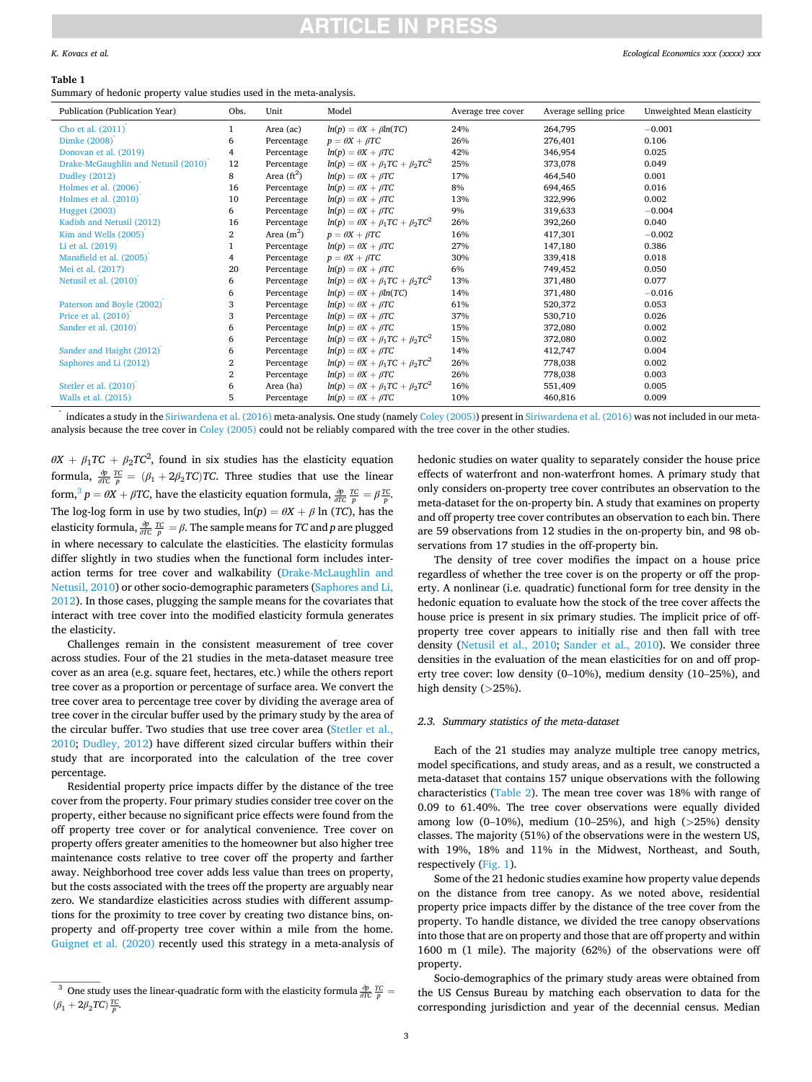#### <span id="page-2-0"></span>*K. Kovacs et al.*

#### **Table 1**

Summary of hedonic property value studies used in the meta-analysis.

| Publication (Publication Year)      | Obs.           | Unit          | Model                                            | Average tree cover | Average selling price | Unweighted Mean elasticity |
|-------------------------------------|----------------|---------------|--------------------------------------------------|--------------------|-----------------------|----------------------------|
| Cho et al. (2011)                   | 1              | Area (ac)     | $ln(p) = \theta X + \beta ln(TC)$                | 24%                | 264,795               | $-0.001$                   |
| Dimke (2008)                        | 6              | Percentage    | $p = \theta X + \beta TC$                        | 26%                | 276,401               | 0.106                      |
| Donovan et al. (2019)               | 4              | Percentage    | $ln(p) = \theta X + \beta TC$                    | 42%                | 346,954               | 0.025                      |
| Drake-McGaughlin and Netusil (2010) | 12             | Percentage    | $ln(p) = \theta X + \beta_1 T C + \beta_2 T C^2$ | 25%                | 373,078               | 0.049                      |
| <b>Dudley (2012)</b>                | 8              | Area $(ft^2)$ | $ln(p) = \theta X + \beta TC$                    | 17%                | 464,540               | 0.001                      |
| Holmes et al. (2006)                | 16             | Percentage    | $ln(p) = \theta X + \beta TC$                    | 8%                 | 694,465               | 0.016                      |
| Holmes et al. (2010)                | 10             | Percentage    | $ln(p) = \theta X + \beta TC$                    | 13%                | 322,996               | 0.002                      |
| <b>Hugget (2003)</b>                | 6              | Percentage    | $ln(p) = \theta X + \beta TC$                    | 9%                 | 319,633               | $-0.004$                   |
| Kadish and Netusil (2012)           | 16             | Percentage    | $ln(p) = \theta X + \beta_1 T C + \beta_2 T C^2$ | 26%                | 392,260               | 0.040                      |
| Kim and Wells $(2005)$              | $\overline{2}$ | Area $(m2)$   | $p = \theta X + \beta TC$                        | 16%                | 417,301               | $-0.002$                   |
| Li et al. (2019)                    |                | Percentage    | $ln(p) = \theta X + \beta TC$                    | 27%                | 147,180               | 0.386                      |
| Mansfield et al. (2005)             | 4              | Percentage    | $p = \theta X + \beta TC$                        | 30%                | 339,418               | 0.018                      |
| Mei et al. (2017)                   | 20             | Percentage    | $ln(p) = \theta X + \beta TC$                    | 6%                 | 749,452               | 0.050                      |
| Netusil et al. (2010)               | 6              | Percentage    | $ln(p) = \theta X + \beta_1 T C + \beta_2 T C^2$ | 13%                | 371,480               | 0.077                      |
|                                     | 6              | Percentage    | $ln(p) = \theta X + \beta ln(TC)$                | 14%                | 371,480               | $-0.016$                   |
| Paterson and Boyle (2002)           | 3              | Percentage    | $ln(p) = \theta X + \beta TC$                    | 61%                | 520,372               | 0.053                      |
| Price et al. $(2010)$               | 3              | Percentage    | $ln(p) = \theta X + \beta TC$                    | 37%                | 530,710               | 0.026                      |
| Sander et al. (2010)                | 6              | Percentage    | $ln(p) = \theta X + \beta TC$                    | 15%                | 372,080               | 0.002                      |
|                                     | 6              | Percentage    | $ln(p) = \theta X + \beta_1 T C + \beta_2 T C^2$ | 15%                | 372,080               | 0.002                      |
| Sander and Haight (2012)            | 6              | Percentage    | $ln(p) = \theta X + \beta TC$                    | 14%                | 412,747               | 0.004                      |
| Saphores and Li (2012)              | 2              | Percentage    | $ln(p) = \theta X + \beta_1 T C + \beta_2 T C^2$ | 26%                | 778,038               | 0.002                      |
|                                     | 2              | Percentage    | $ln(p) = \theta X + \beta TC$                    | 26%                | 778,038               | 0.003                      |
| Stetler et al. (2010)               | 6              | Area (ha)     | $ln(p) = \theta X + \beta_1 T C + \beta_2 T C^2$ | 16%                | 551,409               | 0.005                      |
| Walls et al. (2015)                 | 5              | Percentage    | $ln(p) = \theta X + \beta TC$                    | 10%                | 460,816               | 0.009                      |

indicates a study in the [Siriwardena et al. \(2016\)](#page-12-0) meta-analysis. One study (namely [Coley \(2005\)](#page-12-0)) present in Siriwardena et al. (2016) was not included in our metaanalysis because the tree cover in [Coley \(2005\)](#page-12-0) could not be reliably compared with the tree cover in the other studies.

 $\theta X + \beta_1 T C + \beta_2 T C^2$ , found in six studies has the elasticity equation formula,  $\frac{\partial p}{\partial TC} \frac{TC}{p} = (\beta_1 + 2\beta_2 TC)TC$ . Three studies that use the linear form,<sup>3</sup>  $p = \theta X + \beta T C$ , have the elasticity equation formula,  $\frac{\partial p}{\partial T C} \frac{T C}{p} = \beta \frac{T C}{p}$ . The log-log form in use by two studies,  $ln(p) = \theta X + \beta ln(TC)$ , has the *elasticity formula,*  $\frac{\partial p}{\partial T C}$  $\frac{TC}{p} = \beta$ *. The sample means for <i>TC* and *p* are plugged in where necessary to calculate the elasticities. The elasticity formulas differ slightly in two studies when the functional form includes interaction terms for tree cover and walkability [\(Drake-McLaughlin and](#page-12-0)  [Netusil, 2010](#page-12-0)) or other socio-demographic parameters [\(Saphores and Li,](#page-12-0)  [2012\)](#page-12-0). In those cases, plugging the sample means for the covariates that interact with tree cover into the modified elasticity formula generates the elasticity.

Challenges remain in the consistent measurement of tree cover across studies. Four of the 21 studies in the meta-dataset measure tree cover as an area (e.g. square feet, hectares, etc.) while the others report tree cover as a proportion or percentage of surface area. We convert the tree cover area to percentage tree cover by dividing the average area of tree cover in the circular buffer used by the primary study by the area of the circular buffer. Two studies that use tree cover area ([Stetler et al.,](#page-12-0)  [2010;](#page-12-0) [Dudley, 2012](#page-12-0)) have different sized circular buffers within their study that are incorporated into the calculation of the tree cover percentage.

Residential property price impacts differ by the distance of the tree cover from the property. Four primary studies consider tree cover on the property, either because no significant price effects were found from the off property tree cover or for analytical convenience. Tree cover on property offers greater amenities to the homeowner but also higher tree maintenance costs relative to tree cover off the property and farther away. Neighborhood tree cover adds less value than trees on property, but the costs associated with the trees off the property are arguably near zero. We standardize elasticities across studies with different assumptions for the proximity to tree cover by creating two distance bins, onproperty and off-property tree cover within a mile from the home. [Guignet et al. \(2020\)](#page-12-0) recently used this strategy in a meta-analysis of hedonic studies on water quality to separately consider the house price effects of waterfront and non-waterfront homes. A primary study that only considers on-property tree cover contributes an observation to the meta-dataset for the on-property bin. A study that examines on property and off property tree cover contributes an observation to each bin. There are 59 observations from 12 studies in the on-property bin, and 98 observations from 17 studies in the off-property bin.

The density of tree cover modifies the impact on a house price regardless of whether the tree cover is on the property or off the property. A nonlinear (i.e. quadratic) functional form for tree density in the hedonic equation to evaluate how the stock of the tree cover affects the house price is present in six primary studies. The implicit price of offproperty tree cover appears to initially rise and then fall with tree density [\(Netusil et al., 2010](#page-12-0); [Sander et al., 2010](#page-12-0)). We consider three densities in the evaluation of the mean elasticities for on and off property tree cover: low density (0–10%), medium density (10–25%), and high density (*>*25%).

#### *2.3. Summary statistics of the meta-dataset*

Each of the 21 studies may analyze multiple tree canopy metrics, model specifications, and study areas, and as a result, we constructed a meta-dataset that contains 157 unique observations with the following characteristics ([Table 2\)](#page-3-0). The mean tree cover was 18% with range of 0.09 to 61.40%. The tree cover observations were equally divided among low (0–10%), medium (10–25%), and high (*>*25%) density classes. The majority (51%) of the observations were in the western US, with 19%, 18% and 11% in the Midwest, Northeast, and South, respectively [\(Fig. 1](#page-4-0)).

Some of the 21 hedonic studies examine how property value depends on the distance from tree canopy. As we noted above, residential property price impacts differ by the distance of the tree cover from the property. To handle distance, we divided the tree canopy observations into those that are on property and those that are off property and within 1600 m (1 mile). The majority (62%) of the observations were off property.

Socio-demographics of the primary study areas were obtained from the US Census Bureau by matching each observation to data for the corresponding jurisdiction and year of the decennial census. Median

<sup>&</sup>lt;sup>3</sup> One study uses the linear-quadratic form with the elasticity formula  $\frac{\partial p}{\partial TC}$  *<u>π</u>C p*  $(\beta_1 + 2\beta_2 TC) \frac{TC}{p}$ .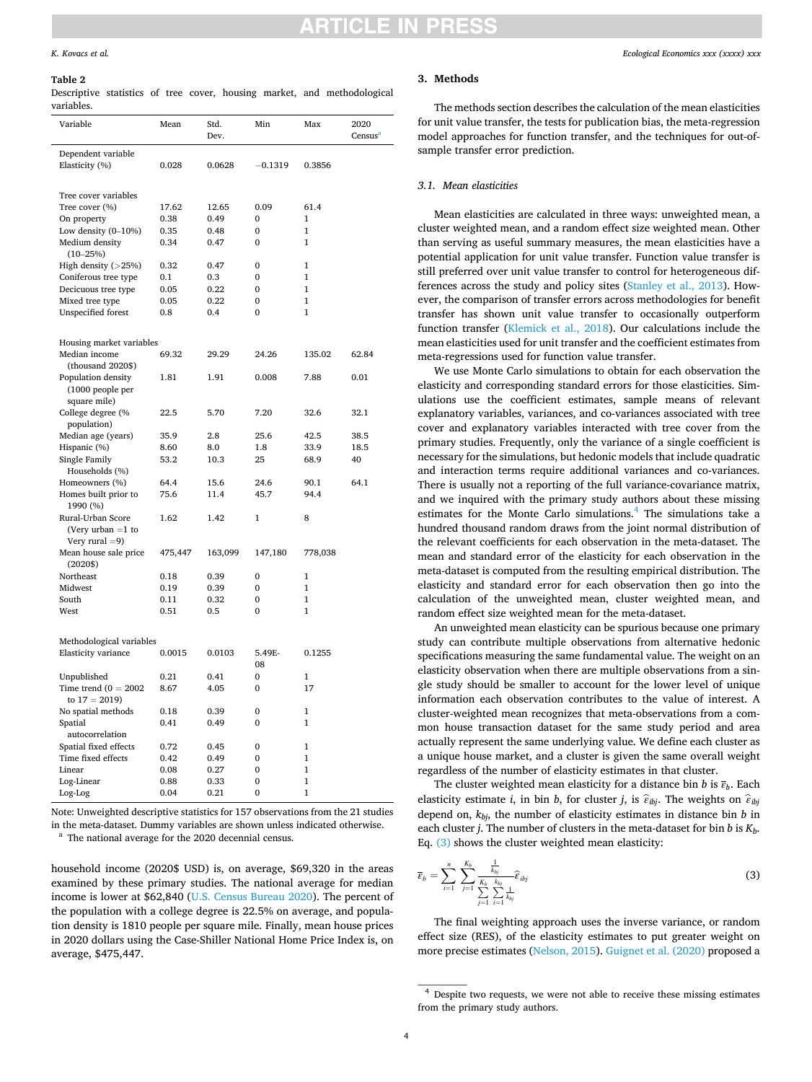### CI F

#### <span id="page-3-0"></span>*K. Kovacs et al.*

#### **Table 2**

Descriptive statistics of tree cover, housing market, and methodological variables.

| Variable                          | Mean         | Std.<br>Dev. | Min          | Max            | 2020<br>Census <sup>a</sup> |
|-----------------------------------|--------------|--------------|--------------|----------------|-----------------------------|
| Dependent variable                |              |              |              |                |                             |
| Elasticity (%)                    | 0.028        | 0.0628       | $-0.1319$    | 0.3856         |                             |
|                                   |              |              |              |                |                             |
| Tree cover variables              |              |              |              |                |                             |
| Tree cover (%)                    | 17.62        | 12.65        | 0.09         | 61.4           |                             |
| On property                       | 0.38         | 0.49         | $\mathbf{0}$ | $\overline{1}$ |                             |
| Low density $(0-10\%)$            | 0.35         | 0.48         | 0            | $\mathbf{1}$   |                             |
| Medium density                    | 0.34         | 0.47         | $\mathbf{0}$ | $\overline{1}$ |                             |
| $(10 - 25%)$                      |              |              |              |                |                             |
| High density $($ > 25%)           | 0.32         | 0.47         | $\mathbf{0}$ | $\mathbf{1}$   |                             |
| Coniferous tree type              | 0.1          | 0.3          | $\Omega$     | $\mathbf{1}$   |                             |
| Decicuous tree type               | 0.05         | 0.22         | $\mathbf{0}$ | $\mathbf{1}$   |                             |
| Mixed tree type                   | 0.05         | 0.22         | $\bf{0}$     | $\mathbf{1}$   |                             |
| Unspecified forest                | 0.8          | 0.4          | 0            | $\mathbf{1}$   |                             |
|                                   |              |              |              |                |                             |
| Housing market variables          |              |              |              |                |                             |
| Median income                     | 69.32        | 29.29        | 24.26        | 135.02         | 62.84                       |
| (thousand 2020\$)                 |              |              |              |                |                             |
| Population density                | 1.81         | 1.91         | 0.008        | 7.88           | 0.01                        |
| (1000 people per                  |              |              |              |                |                             |
| square mile)                      |              |              |              |                |                             |
| College degree (%                 | 22.5         | 5.70         | 7.20         | 32.6           | 32.1                        |
| population)                       |              |              |              |                |                             |
| Median age (years)                | 35.9<br>8.60 | 2.8<br>8.0   | 25.6<br>1.8  | 42.5<br>33.9   | 38.5<br>18.5                |
| Hispanic (%)<br>Single Family     | 53.2         | 10.3         | 25           | 68.9           | 40                          |
| Households (%)                    |              |              |              |                |                             |
| Homeowners (%)                    | 64.4         | 15.6         | 24.6         | 90.1           | 64.1                        |
| Homes built prior to              | 75.6         | 11.4         | 45.7         | 94.4           |                             |
| 1990 (%)                          |              |              |              |                |                             |
| Rural-Urban Score                 | 1.62         | 1.42         | 1            | 8              |                             |
| (Very urban $=1$ to               |              |              |              |                |                             |
| Very rural $=9$ )                 |              |              |              |                |                             |
| Mean house sale price<br>(2020\$) | 475,447      | 163,099      | 147,180      | 778,038        |                             |
| Northeast                         | 0.18         | 0.39         | $\mathbf{0}$ | $\mathbf{1}$   |                             |
| Midwest                           | 0.19         | 0.39         | $\mathbf{0}$ | $\mathbf{1}$   |                             |
| South                             | 0.11         | 0.32         | 0            | $\mathbf{1}$   |                             |
| West                              | 0.51         | 0.5          | $\mathbf{0}$ | $\overline{1}$ |                             |
|                                   |              |              |              |                |                             |
| Methodological variables          |              |              |              |                |                             |
| Elasticity variance               | 0.0015       | 0.0103       | 5.49E-<br>08 | 0.1255         |                             |
| Unpublished                       | 0.21         | 0.41         | $\bf{0}$     | 1              |                             |
| Time trend $(0 = 2002$            | 8.67         | 4.05         | $\mathbf{0}$ | 17             |                             |
| to $17 = 2019$                    |              |              |              |                |                             |
| No spatial methods                | 0.18         | 0.39         | 0            | $\mathbf{1}$   |                             |
| Spatial                           | 0.41         | 0.49         | $\mathbf{0}$ | $\mathbf{1}$   |                             |
| autocorrelation                   |              |              |              |                |                             |
| Spatial fixed effects             | 0.72         | 0.45         | $\mathbf{0}$ | $\mathbf{1}$   |                             |
| Time fixed effects                | 0.42         | 0.49         | $\mathbf{0}$ | $\mathbf{1}$   |                             |
| Linear                            | 0.08         | 0.27         | $\Omega$     | $\mathbf{1}$   |                             |
| Log-Linear                        | 0.88         | 0.33         | $\bf{0}$     | $\mathbf{1}$   |                             |
| Log-Log                           | 0.04         | 0.21         | $\mathbf{0}$ | $\overline{1}$ |                             |

Note: Unweighted descriptive statistics for 157 observations from the 21 studies in the meta-dataset. Dummy variables are shown unless indicated otherwise. a The national average for the 2020 decennial census.

household income (2020\$ USD) is, on average, \$69,320 in the areas examined by these primary studies. The national average for median income is lower at \$62,840 [\(U.S. Census Bureau 2020](#page-12-0)). The percent of the population with a college degree is 22.5% on average, and population density is 1810 people per square mile. Finally, mean house prices in 2020 dollars using the Case-Shiller National Home Price Index is, on average, \$475,447.

#### **3. Methods**

The methods section describes the calculation of the mean elasticities for unit value transfer, the tests for publication bias, the meta-regression model approaches for function transfer, and the techniques for out-ofsample transfer error prediction.

#### *3.1. Mean elasticities*

Mean elasticities are calculated in three ways: unweighted mean, a cluster weighted mean, and a random effect size weighted mean. Other than serving as useful summary measures, the mean elasticities have a potential application for unit value transfer. Function value transfer is still preferred over unit value transfer to control for heterogeneous differences across the study and policy sites [\(Stanley et al., 2013](#page-12-0)). However, the comparison of transfer errors across methodologies for benefit transfer has shown unit value transfer to occasionally outperform function transfer ([Klemick et al., 2018\)](#page-12-0). Our calculations include the mean elasticities used for unit transfer and the coefficient estimates from meta-regressions used for function value transfer.

We use Monte Carlo simulations to obtain for each observation the elasticity and corresponding standard errors for those elasticities. Simulations use the coefficient estimates, sample means of relevant explanatory variables, variances, and co-variances associated with tree cover and explanatory variables interacted with tree cover from the primary studies. Frequently, only the variance of a single coefficient is necessary for the simulations, but hedonic models that include quadratic and interaction terms require additional variances and co-variances. There is usually not a reporting of the full variance-covariance matrix, and we inquired with the primary study authors about these missing estimates for the Monte Carlo simulations.<sup>4</sup> The simulations take a hundred thousand random draws from the joint normal distribution of the relevant coefficients for each observation in the meta-dataset. The mean and standard error of the elasticity for each observation in the meta-dataset is computed from the resulting empirical distribution. The elasticity and standard error for each observation then go into the calculation of the unweighted mean, cluster weighted mean, and random effect size weighted mean for the meta-dataset.

An unweighted mean elasticity can be spurious because one primary study can contribute multiple observations from alternative hedonic specifications measuring the same fundamental value. The weight on an elasticity observation when there are multiple observations from a single study should be smaller to account for the lower level of unique information each observation contributes to the value of interest. A cluster-weighted mean recognizes that meta-observations from a common house transaction dataset for the same study period and area actually represent the same underlying value. We define each cluster as a unique house market, and a cluster is given the same overall weight regardless of the number of elasticity estimates in that cluster.

The cluster weighted mean elasticity for a distance bin *b* is *εb*. Each elasticity estimate *i*, in bin *b*, for cluster *j*, is  $\hat{\epsilon}_{ibi}$ . The weights on  $\hat{\epsilon}_{ibi}$ depend on, *kbj*, the number of elasticity estimates in distance bin *b* in each cluster *j*. The number of clusters in the meta-dataset for bin *b* is *Kb*. Eq. (3) shows the cluster weighted mean elasticity:

$$
\overline{\varepsilon}_b = \sum_{i=1}^n \sum_{j=1}^{K_b} \frac{\frac{1}{k_{bj}}}{\sum_{j=1}^K \sum_{i=1}^{K_b} \frac{1}{k_{bj}}} \widehat{\varepsilon}_{ibj}
$$
(3)

The final weighting approach uses the inverse variance, or random effect size (RES), of the elasticity estimates to put greater weight on more precise estimates [\(Nelson, 2015](#page-12-0)). [Guignet et al. \(2020\)](#page-12-0) proposed a

<sup>4</sup> Despite two requests, we were not able to receive these missing estimates from the primary study authors.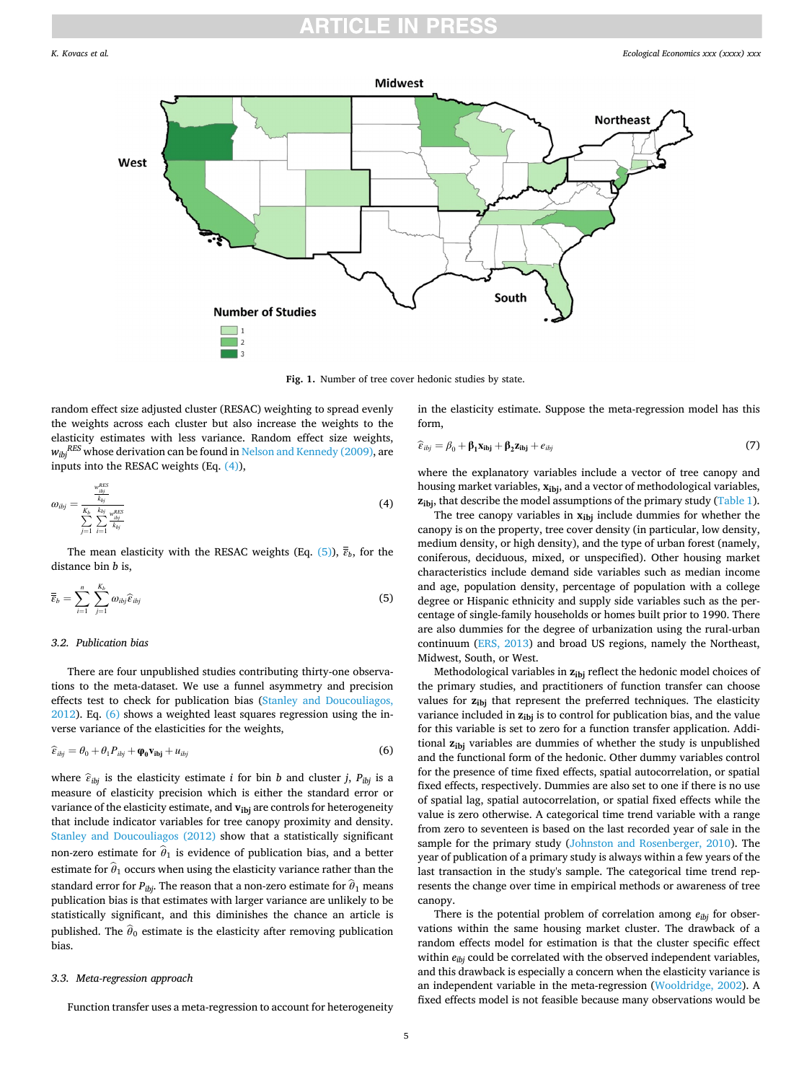<span id="page-4-0"></span>

**Fig. 1.** Number of tree cover hedonic studies by state.

random effect size adjusted cluster (RESAC) weighting to spread evenly the weights across each cluster but also increase the weights to the elasticity estimates with less variance. Random effect size weights, *wibjRES* whose derivation can be found in [Nelson and Kennedy \(2009\),](#page-12-0) are inputs into the RESAC weights (Eq. (4)),

$$
\omega_{ibj} = \frac{\frac{w_{bj}^{RES}}{k_{bj}}}{\sum_{j=1}^{K_b} \sum_{i=1}^{k_{bj}} \frac{w_{ibj}^{RES}}{k_{bj}}}
$$
(4)

The mean elasticity with the RESAC weights (Eq. (5)),  $\overline{\overline{\epsilon}}_b$ , for the distance bin *b* is,

$$
\overline{\overline{\overline{\varepsilon}}}_b = \sum_{i=1}^n \sum_{j=1}^{K_b} \omega_{ibj} \widehat{\varepsilon}_{ibj} \tag{5}
$$

### *3.2. Publication bias*

There are four unpublished studies contributing thirty-one observations to the meta-dataset. We use a funnel asymmetry and precision effects test to check for publication bias ([Stanley and Doucouliagos,](#page-12-0)  [2012\)](#page-12-0). Eq. (6) shows a weighted least squares regression using the inverse variance of the elasticities for the weights,

$$
\widehat{\varepsilon}_{ibj} = \theta_0 + \theta_1 P_{ibj} + \varphi_0 \mathbf{v}_{ibj} + u_{ibj} \tag{6}
$$

where  $\hat{\varepsilon}_{ibj}$  is the elasticity estimate *i* for bin *b* and cluster *j*,  $P_{ibj}$  is a measure of elasticity precision which is either the standard error or variance of the elasticity estimate, and  $v_{ibi}$  are controls for heterogeneity that include indicator variables for tree canopy proximity and density. [Stanley and Doucouliagos \(2012\)](#page-12-0) show that a statistically significant non-zero estimate for  $\hat{\theta}_1$  is evidence of publication bias, and a better estimate for  $\hat{\theta}_1$  occurs when using the elasticity variance rather than the standard error for  $P_{ibi}$ . The reason that a non-zero estimate for  $\hat{\theta}_1$  means publication bias is that estimates with larger variance are unlikely to be statistically significant, and this diminishes the chance an article is published. The  $\hat{\theta}_0$  estimate is the elasticity after removing publication bias.

#### *3.3. Meta-regression approach*

Function transfer uses a meta-regression to account for heterogeneity

in the elasticity estimate. Suppose the meta-regression model has this form,

$$
\widehat{\epsilon}_{ibj} = \beta_0 + \beta_1 \mathbf{x}_{ibj} + \beta_2 \mathbf{z}_{ibj} + e_{ibj} \tag{7}
$$

where the explanatory variables include a vector of tree canopy and housing market variables, **xibj**, and a vector of methodological variables, **z**<sub>ibj</sub>, that describe the model assumptions of the primary study ([Table 1](#page-2-0)).

The tree canopy variables in  $x_{ibi}$  include dummies for whether the canopy is on the property, tree cover density (in particular, low density, medium density, or high density), and the type of urban forest (namely, coniferous, deciduous, mixed, or unspecified). Other housing market characteristics include demand side variables such as median income and age, population density, percentage of population with a college degree or Hispanic ethnicity and supply side variables such as the percentage of single-family households or homes built prior to 1990. There are also dummies for the degree of urbanization using the rural-urban continuum ([ERS, 2013](#page-12-0)) and broad US regions, namely the Northeast, Midwest, South, or West.

Methodological variables in **zibj** reflect the hedonic model choices of the primary studies, and practitioners of function transfer can choose values for  $z_{ibj}$  that represent the preferred techniques. The elasticity variance included in  $z_{ibj}$  is to control for publication bias, and the value for this variable is set to zero for a function transfer application. Additional **zibj** variables are dummies of whether the study is unpublished and the functional form of the hedonic. Other dummy variables control for the presence of time fixed effects, spatial autocorrelation, or spatial fixed effects, respectively. Dummies are also set to one if there is no use of spatial lag, spatial autocorrelation, or spatial fixed effects while the value is zero otherwise. A categorical time trend variable with a range from zero to seventeen is based on the last recorded year of sale in the sample for the primary study [\(Johnston and Rosenberger, 2010](#page-12-0)). The year of publication of a primary study is always within a few years of the last transaction in the study's sample. The categorical time trend represents the change over time in empirical methods or awareness of tree canopy.

There is the potential problem of correlation among *eibj* for observations within the same housing market cluster. The drawback of a random effects model for estimation is that the cluster specific effect within  $e_{ibj}$  could be correlated with the observed independent variables, and this drawback is especially a concern when the elasticity variance is an independent variable in the meta-regression [\(Wooldridge, 2002](#page-12-0)). A fixed effects model is not feasible because many observations would be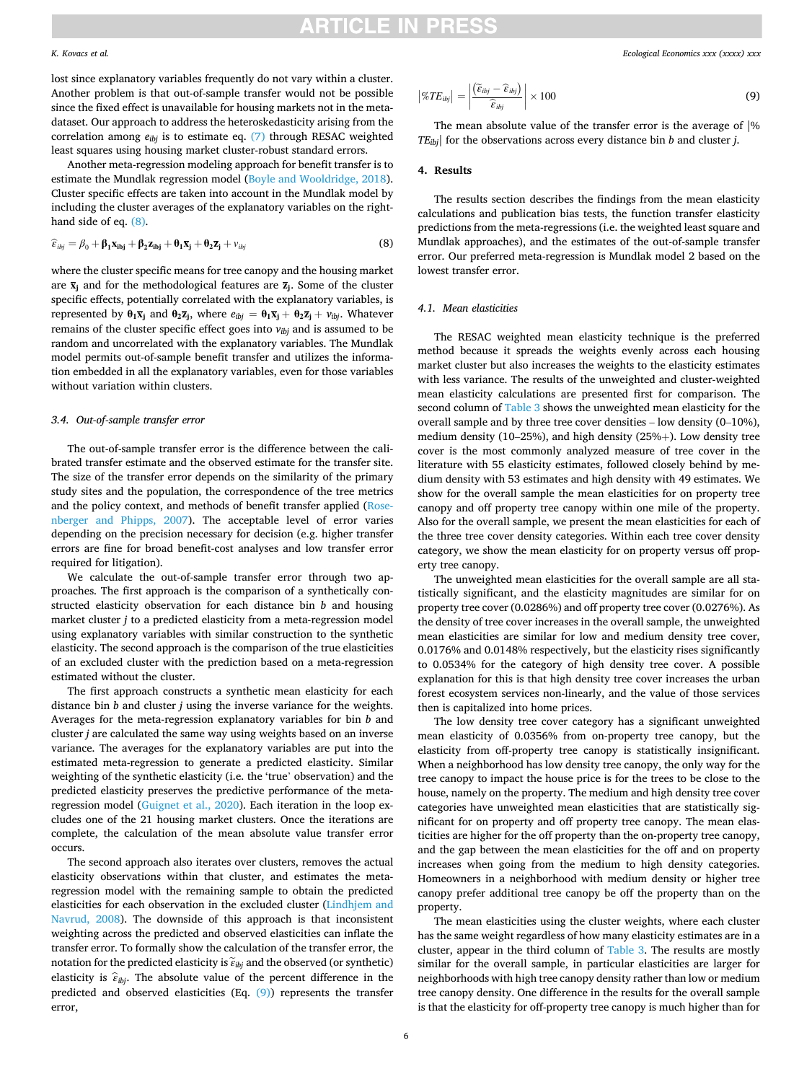#### *K. Kovacs et al.*

lost since explanatory variables frequently do not vary within a cluster. Another problem is that out-of-sample transfer would not be possible since the fixed effect is unavailable for housing markets not in the metadataset. Our approach to address the heteroskedasticity arising from the correlation among  $e_{ibj}$  is to estimate eq. [\(7\)](#page-4-0) through RESAC weighted least squares using housing market cluster-robust standard errors.

Another meta-regression modeling approach for benefit transfer is to estimate the Mundlak regression model [\(Boyle and Wooldridge, 2018](#page-11-0)). Cluster specific effects are taken into account in the Mundlak model by including the cluster averages of the explanatory variables on the righthand side of eq. (8).

$$
\widehat{\varepsilon}_{ibj} = \beta_0 + \beta_1 \mathbf{x}_{ibj} + \beta_2 \mathbf{z}_{ibj} + \theta_1 \overline{\mathbf{x}}_j + \theta_2 \overline{\mathbf{z}}_j + v_{ibj}
$$
(8)

where the cluster specific means for tree canopy and the housing market are  $\bar{x}_i$  and for the methodological features are  $\bar{z}_j$ . Some of the cluster specific effects, potentially correlated with the explanatory variables, is represented by  $\theta_1 \overline{x}_j$  and  $\theta_2 \overline{z}_j$ , where  $e_{ibj} = \theta_1 \overline{x}_j + \theta_2 \overline{z}_j + v_{ibj}$ . Whatever remains of the cluster specific effect goes into *vibj* and is assumed to be random and uncorrelated with the explanatory variables. The Mundlak model permits out-of-sample benefit transfer and utilizes the information embedded in all the explanatory variables, even for those variables without variation within clusters.

#### *3.4. Out-of-sample transfer error*

The out-of-sample transfer error is the difference between the calibrated transfer estimate and the observed estimate for the transfer site. The size of the transfer error depends on the similarity of the primary study sites and the population, the correspondence of the tree metrics and the policy context, and methods of benefit transfer applied ([Rose](#page-12-0)[nberger and Phipps, 2007](#page-12-0)). The acceptable level of error varies depending on the precision necessary for decision (e.g. higher transfer errors are fine for broad benefit-cost analyses and low transfer error required for litigation).

We calculate the out-of-sample transfer error through two approaches. The first approach is the comparison of a synthetically constructed elasticity observation for each distance bin *b* and housing market cluster *j* to a predicted elasticity from a meta-regression model using explanatory variables with similar construction to the synthetic elasticity. The second approach is the comparison of the true elasticities of an excluded cluster with the prediction based on a meta-regression estimated without the cluster.

The first approach constructs a synthetic mean elasticity for each distance bin *b* and cluster *j* using the inverse variance for the weights. Averages for the meta-regression explanatory variables for bin *b* and cluster *j* are calculated the same way using weights based on an inverse variance. The averages for the explanatory variables are put into the estimated meta-regression to generate a predicted elasticity. Similar weighting of the synthetic elasticity (i.e. the 'true' observation) and the predicted elasticity preserves the predictive performance of the metaregression model ([Guignet et al., 2020](#page-12-0)). Each iteration in the loop excludes one of the 21 housing market clusters. Once the iterations are complete, the calculation of the mean absolute value transfer error occurs.

The second approach also iterates over clusters, removes the actual elasticity observations within that cluster, and estimates the metaregression model with the remaining sample to obtain the predicted elasticities for each observation in the excluded cluster ([Lindhjem and](#page-12-0)  [Navrud, 2008](#page-12-0)). The downside of this approach is that inconsistent weighting across the predicted and observed elasticities can inflate the transfer error. To formally show the calculation of the transfer error, the notation for the predicted elasticity is  $\tilde{\epsilon}_{i}$  and the observed (or synthetic) elasticity is  $\hat{\epsilon}_{i}$ <sub>ibj</sub>. The absolute value of the percent difference in the predicted and observed elasticities (Eq. (9)) represents the transfer error,

$$
\left| \%TE_{ibj} \right| = \left| \frac{\left( \widetilde{\epsilon}_{ibj} - \widehat{\epsilon}_{ibj} \right)}{\widehat{\epsilon}_{ibj}} \right| \times 100 \tag{9}
$$

The mean absolute value of the transfer error is the average of |% *TEibj*| for the observations across every distance bin *b* and cluster *j*.

#### **4. Results**

The results section describes the findings from the mean elasticity calculations and publication bias tests, the function transfer elasticity predictions from the meta-regressions (i.e. the weighted least square and Mundlak approaches), and the estimates of the out-of-sample transfer error. Our preferred meta-regression is Mundlak model 2 based on the lowest transfer error.

#### *4.1. Mean elasticities*

The RESAC weighted mean elasticity technique is the preferred method because it spreads the weights evenly across each housing market cluster but also increases the weights to the elasticity estimates with less variance. The results of the unweighted and cluster-weighted mean elasticity calculations are presented first for comparison. The second column of [Table 3](#page-6-0) shows the unweighted mean elasticity for the overall sample and by three tree cover densities – low density (0–10%), medium density (10–25%), and high density (25%+). Low density tree cover is the most commonly analyzed measure of tree cover in the literature with 55 elasticity estimates, followed closely behind by medium density with 53 estimates and high density with 49 estimates. We show for the overall sample the mean elasticities for on property tree canopy and off property tree canopy within one mile of the property. Also for the overall sample, we present the mean elasticities for each of the three tree cover density categories. Within each tree cover density category, we show the mean elasticity for on property versus off property tree canopy.

The unweighted mean elasticities for the overall sample are all statistically significant, and the elasticity magnitudes are similar for on property tree cover (0.0286%) and off property tree cover (0.0276%). As the density of tree cover increases in the overall sample, the unweighted mean elasticities are similar for low and medium density tree cover, 0.0176% and 0.0148% respectively, but the elasticity rises significantly to 0.0534% for the category of high density tree cover. A possible explanation for this is that high density tree cover increases the urban forest ecosystem services non-linearly, and the value of those services then is capitalized into home prices.

The low density tree cover category has a significant unweighted mean elasticity of 0.0356% from on-property tree canopy, but the elasticity from off-property tree canopy is statistically insignificant. When a neighborhood has low density tree canopy, the only way for the tree canopy to impact the house price is for the trees to be close to the house, namely on the property. The medium and high density tree cover categories have unweighted mean elasticities that are statistically significant for on property and off property tree canopy. The mean elasticities are higher for the off property than the on-property tree canopy, and the gap between the mean elasticities for the off and on property increases when going from the medium to high density categories. Homeowners in a neighborhood with medium density or higher tree canopy prefer additional tree canopy be off the property than on the property.

The mean elasticities using the cluster weights, where each cluster has the same weight regardless of how many elasticity estimates are in a cluster, appear in the third column of [Table 3.](#page-6-0) The results are mostly similar for the overall sample, in particular elasticities are larger for neighborhoods with high tree canopy density rather than low or medium tree canopy density. One difference in the results for the overall sample is that the elasticity for off-property tree canopy is much higher than for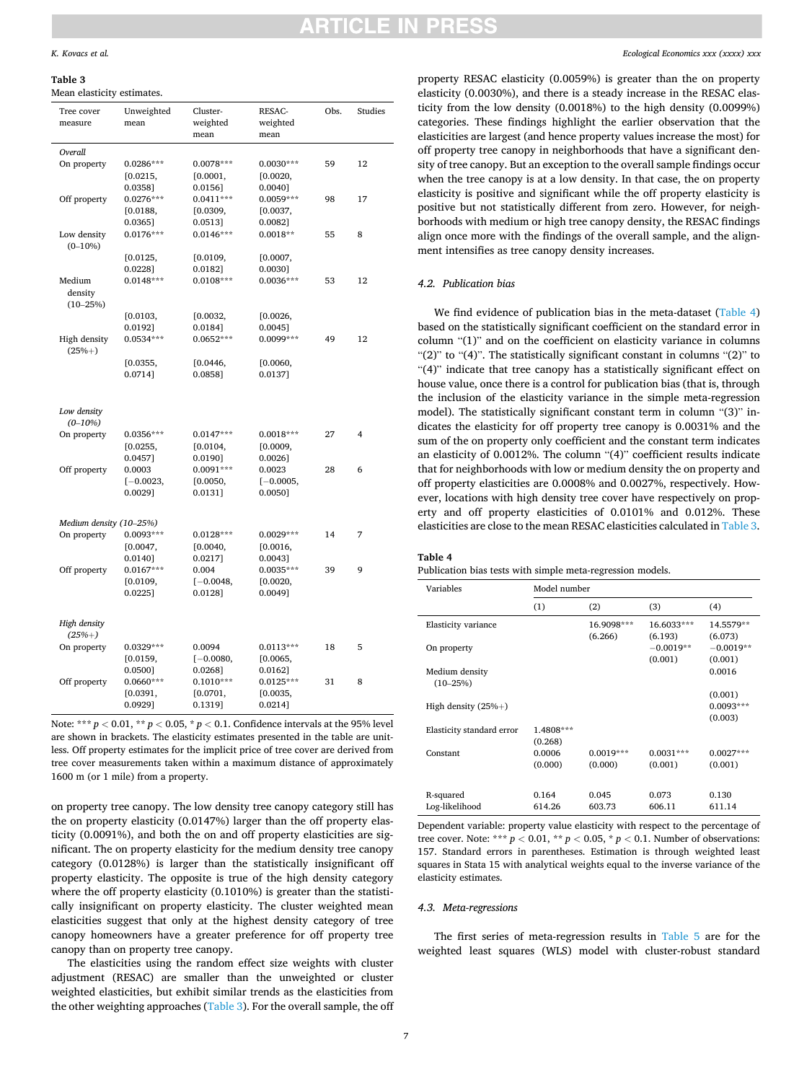#### <span id="page-6-0"></span>**Table 3**

Mean elasticity estimates.

| Tree cover<br>measure             | Unweighted<br>mean                            | Cluster-<br>weighted<br>mean                     | RESAC-<br>weighted<br>mean                    | Obs. | Studies |
|-----------------------------------|-----------------------------------------------|--------------------------------------------------|-----------------------------------------------|------|---------|
|                                   |                                               |                                                  |                                               |      |         |
| Overall<br>On property            | $0.0286***$<br>[0.0215,                       | $0.0078***$<br>[0.0001,                          | $0.0030***$<br>[0.0020,                       | 59   | 12      |
| Off property                      | 0.0358]<br>$0.0276***$<br>[0.0188,<br>0.03651 | $0.0156$ ]<br>$0.0411***$<br>[0.0309,<br>0.0513] | 0.0040]<br>$0.0059***$<br>[0.0037,<br>0.00821 | 98   | 17      |
| Low density<br>$(0-10\%)$         | $0.0176***$                                   | $0.0146***$                                      | $0.0018**$                                    | 55   | 8       |
|                                   | [0.0125,<br>$0.0228$ ]                        | [0.0109,<br>0.0182]                              | [0.0007,<br>0.0030]                           |      |         |
| Medium<br>density<br>$(10 - 25%)$ | $0.0148***$                                   | $0.0108***$                                      | $0.0036***$                                   | 53   | 12      |
|                                   | [0.0103,<br>0.0192]                           | [0.0032,<br>0.0184]                              | [0.0026,<br>0.0045]                           |      |         |
| High density<br>$(25% + )$        | 0.0534 ***                                    | $0.0652***$                                      | 0.0099***                                     | 49   | 12      |
|                                   | [0.0355,<br>0.0714]                           | [0.0446,<br>0.0858]                              | [0.0060,<br>0.01371                           |      |         |
| Low density<br>$(0-10%)$          |                                               |                                                  |                                               |      |         |
| On property                       | $0.0356***$<br>[0.0255,<br>$0.0457$ ]         | $0.0147***$<br>[0.0104,<br>0.0190]               | $0.0018***$<br>[0.0009,<br>$0.0026$ ]         | 27   | 4       |
| Off property                      | 0.0003<br>$[-0.0023,$<br>0.00291              | $0.0091***$<br>[0.0050,<br>0.0131]               | 0.0023<br>$[-0.0005,$<br>0.0050]              | 28   | 6       |
| Medium density (10-25%)           |                                               |                                                  |                                               |      |         |
| On property                       | 0.0093***<br>[0.0047,<br>0.0140]              | $0.0128***$<br>[0.0040,<br>0.0217]               | $0.0029***$<br>[0.0016,<br>0.0043]            | 14   | 7       |
| Off property                      | $0.0167***$<br>[0.0109,<br>$0.0225$ ]         | 0.004<br>$[-0.0048,$<br>$0.0128$ ]               | $0.0035***$<br>[0.0020,<br>0.0049]            | 39   | 9       |
| High density<br>$(25% + )$        |                                               |                                                  |                                               |      |         |
| On property                       | 0.0329 ***<br>[0.0159,<br>0.0500]             | 0.0094<br>$[-0.0080,$<br>0.02681                 | $0.0113***$<br>[0.0065,<br>0.0162]            | 18   | 5       |
| Off property                      | $0.0660***$<br>[0.0391,<br>0.09291            | $0.1010***$<br>[0.0701,<br>0.1319]               | $0.0125***$<br>[0.0035,<br>0.02141            | 31   | 8       |

Note: \*\*\*  $p < 0.01$ , \*\*  $p < 0.05$ , \*  $p < 0.1$ . Confidence intervals at the 95% level are shown in brackets. The elasticity estimates presented in the table are unitless. Off property estimates for the implicit price of tree cover are derived from tree cover measurements taken within a maximum distance of approximately 1600 m (or 1 mile) from a property.

on property tree canopy. The low density tree canopy category still has the on property elasticity (0.0147%) larger than the off property elasticity (0.0091%), and both the on and off property elasticities are significant. The on property elasticity for the medium density tree canopy category (0.0128%) is larger than the statistically insignificant off property elasticity. The opposite is true of the high density category where the off property elasticity (0.1010%) is greater than the statistically insignificant on property elasticity. The cluster weighted mean elasticities suggest that only at the highest density category of tree canopy homeowners have a greater preference for off property tree canopy than on property tree canopy.

The elasticities using the random effect size weights with cluster adjustment (RESAC) are smaller than the unweighted or cluster weighted elasticities, but exhibit similar trends as the elasticities from the other weighting approaches (Table 3). For the overall sample, the off property RESAC elasticity (0.0059%) is greater than the on property elasticity (0.0030%), and there is a steady increase in the RESAC elasticity from the low density (0.0018%) to the high density (0.0099%) categories. These findings highlight the earlier observation that the elasticities are largest (and hence property values increase the most) for off property tree canopy in neighborhoods that have a significant density of tree canopy. But an exception to the overall sample findings occur when the tree canopy is at a low density. In that case, the on property elasticity is positive and significant while the off property elasticity is positive but not statistically different from zero. However, for neighborhoods with medium or high tree canopy density, the RESAC findings align once more with the findings of the overall sample, and the alignment intensifies as tree canopy density increases.

#### *4.2. Publication bias*

We find evidence of publication bias in the meta-dataset (Table 4) based on the statistically significant coefficient on the standard error in column "(1)" and on the coefficient on elasticity variance in columns "(2)" to "(4)". The statistically significant constant in columns "(2)" to "(4)" indicate that tree canopy has a statistically significant effect on house value, once there is a control for publication bias (that is, through the inclusion of the elasticity variance in the simple meta-regression model). The statistically significant constant term in column "(3)" indicates the elasticity for off property tree canopy is 0.0031% and the sum of the on property only coefficient and the constant term indicates an elasticity of 0.0012%. The column "(4)" coefficient results indicate that for neighborhoods with low or medium density the on property and off property elasticities are 0.0008% and 0.0027%, respectively. However, locations with high density tree cover have respectively on property and off property elasticities of 0.0101% and 0.012%. These elasticities are close to the mean RESAC elasticities calculated in Table 3.

#### **Table 4**

Publication bias tests with simple meta-regression models.

| Variables                      | Model number         |                       |                        |                        |
|--------------------------------|----------------------|-----------------------|------------------------|------------------------|
|                                | (1)                  | (2)                   | (3)                    | (4)                    |
| Elasticity variance            |                      | 16.9098***<br>(6.266) | 16.6033***<br>(6.193)  | 14.5579**<br>(6.073)   |
| On property                    |                      |                       | $-0.0019**$<br>(0.001) | $-0.0019**$<br>(0.001) |
| Medium density<br>$(10 - 25%)$ |                      |                       |                        | 0.0016                 |
|                                |                      |                       |                        | (0.001)                |
| High density $(25\% +)$        |                      |                       |                        | $0.0093***$            |
| Elasticity standard error      | 1.4808***<br>(0.268) |                       |                        | (0.003)                |
| Constant                       | 0.0006               | $0.0019***$           | $0.0031***$            | $0.0027***$            |
|                                | (0.000)              | (0.000)               | (0.001)                | (0.001)                |
| R-squared                      | 0.164                | 0.045                 | 0.073                  | 0.130                  |
| Log-likelihood                 | 614.26               | 603.73                | 606.11                 | 611.14                 |

Dependent variable: property value elasticity with respect to the percentage of tree cover. Note: \*\*\*  $p < 0.01$ , \*\*  $p < 0.05$ , \*  $p < 0.1$ . Number of observations: 157. Standard errors in parentheses. Estimation is through weighted least squares in Stata 15 with analytical weights equal to the inverse variance of the elasticity estimates.

#### *4.3. Meta-regressions*

The first series of meta-regression results in [Table 5](#page-7-0) are for the weighted least squares (WLS) model with cluster-robust standard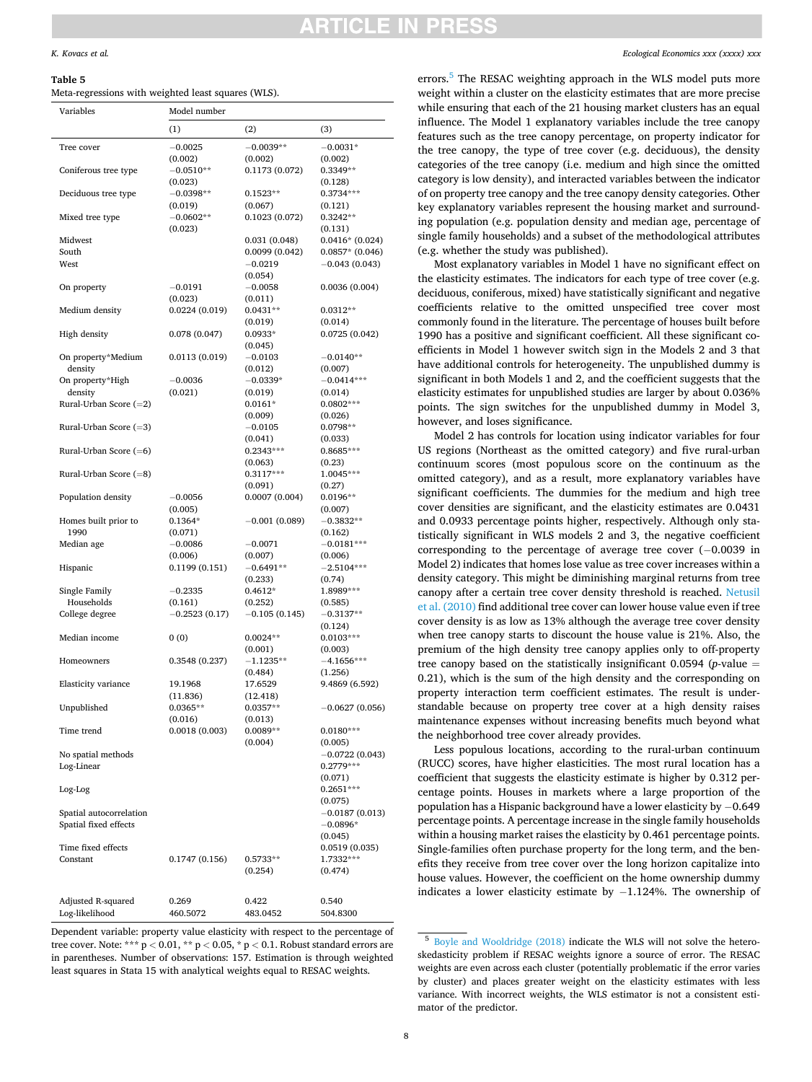#### <span id="page-7-0"></span>**Table 5**

| Meta-regressions with weighted least squares (WLS). |  |  |  |  |  |
|-----------------------------------------------------|--|--|--|--|--|
|-----------------------------------------------------|--|--|--|--|--|

| Variables                | Model number    |                 |                   |
|--------------------------|-----------------|-----------------|-------------------|
|                          | (1)             | (2)             | (3)               |
| Tree cover               | $-0.0025$       | $-0.0039**$     | $-0.0031*$        |
|                          | (0.002)         | (0.002)         | (0.002)           |
| Coniferous tree type     | $-0.0510**$     | 0.1173(0.072)   | 0.3349**          |
|                          | (0.023)         |                 | (0.128)           |
| Deciduous tree type      | $-0.0398**$     | $0.1523**$      | $0.3734***$       |
|                          | (0.019)         | (0.067)         | (0.121)           |
| Mixed tree type          | $-0.0602**$     | 0.1023(0.072)   | $0.3242**$        |
|                          | (0.023)         |                 | (0.131)           |
| Midwest                  |                 | 0.031(0.048)    | $0.0416*(0.024)$  |
| South                    |                 | 0.0099(0.042)   | $0.0857*$ (0.046) |
| West                     |                 | $-0.0219$       | $-0.043(0.043)$   |
|                          |                 | (0.054)         |                   |
| On property              | $-0.0191$       | $-0.0058$       | 0.0036(0.004)     |
|                          | (0.023)         | (0.011)         |                   |
| Medium density           | 0.0224(0.019)   | $0.0431**$      | $0.0312**$        |
|                          |                 | (0.019)         | (0.014)           |
| High density             | 0.078(0.047)    | $0.0933*$       | 0.0725(0.042)     |
|                          |                 | (0.045)         |                   |
| On property*Medium       | 0.0113(0.019)   | $-0.0103$       | $-0.0140**$       |
| density                  |                 | (0.012)         | (0.007)           |
| On property*High         | $-0.0036$       | $-0.0339*$      | $-0.0414***$      |
| density                  | (0.021)         | (0.019)         | (0.014)           |
| Rural-Urban Score $(=2)$ |                 | $0.0161*$       | $0.0802***$       |
|                          |                 | (0.009)         | (0.026)           |
| Rural-Urban Score $(=3)$ |                 | $-0.0105$       | $0.0798**$        |
|                          |                 | (0.041)         | (0.033)           |
| Rural-Urban Score $(=6)$ |                 | $0.2343***$     | 0.8685***         |
|                          |                 | (0.063)         | (0.23)            |
| Rural-Urban Score $(=8)$ |                 | $0.3117***$     | 1.0045***         |
|                          |                 | (0.091)         | (0.27)            |
| Population density       | $-0.0056$       | 0.0007(0.004)   | $0.0196**$        |
|                          | (0.005)         |                 | (0.007)           |
| Homes built prior to     | $0.1364*$       | $-0.001(0.089)$ | $-0.3832**$       |
| 1990                     | (0.071)         |                 | (0.162)           |
| Median age               | $-0.0086$       | $-0.0071$       | $-0.0181***$      |
|                          | (0.006)         | (0.007)         | (0.006)           |
| Hispanic                 | 0.1199(0.151)   | $-0.6491**$     | $-2.5104***$      |
|                          |                 | (0.233)         | (0.74)            |
| Single Family            | $-0.2335$       | $0.4612*$       | 1.8989***         |
| Households               | (0.161)         | (0.252)         | (0.585)           |
| College degree           | $-0.2523(0.17)$ | $-0.105(0.145)$ | $-0.3137**$       |
|                          |                 |                 | (0.124)           |
| Median income            | 0(0)            | $0.0024**$      | $0.0103***$       |
|                          |                 | (0.001)         | (0.003)           |
| Homeowners               | 0.3548(0.237)   | $-1.1235**$     | $-4.1656***$      |
|                          |                 | (0.484)         | (1.256)           |
| Elasticity variance      | 19.1968         | 17.6529         | 9.4869 (6.592)    |
|                          | (11.836)        | (12.418)        |                   |
| Unpublished              | $0.0365**$      | $0.0357**$      | $-0.0627(0.056)$  |
|                          | (0.016)         | (0.013)         |                   |
| Time trend               | 0.0018(0.003)   | $0.0089**$      | $0.0180***$       |
|                          |                 | (0.004)         | (0.005)           |
| No spatial methods       |                 |                 | $-0.0722(0.043)$  |
| Log-Linear               |                 |                 | $0.2779***$       |
|                          |                 |                 | (0.071)           |
| Log-Log                  |                 |                 | $0.2651***$       |
|                          |                 |                 | (0.075)           |
| Spatial autocorrelation  |                 |                 | $-0.0187(0.013)$  |
| Spatial fixed effects    |                 |                 | $-0.0896*$        |
|                          |                 |                 | (0.045)           |
| Time fixed effects       |                 |                 | 0.0519(0.035)     |
| Constant                 | 0.1747(0.156)   | $0.5733**$      | 1.7332***         |
|                          |                 | (0.254)         | (0.474)           |
|                          |                 |                 |                   |
| Adjusted R-squared       | 0.269           | 0.422           | 0.540             |
| Log-likelihood           | 460.5072        | 483.0452        | 504.8300          |

Dependent variable: property value elasticity with respect to the percentage of tree cover. Note: \*\*\* p *<* 0.01, \*\* p *<* 0.05, \* p *<* 0.1. Robust standard errors are in parentheses. Number of observations: 157. Estimation is through weighted least squares in Stata 15 with analytical weights equal to RESAC weights.

errors.<sup>5</sup> The RESAC weighting approach in the WLS model puts more weight within a cluster on the elasticity estimates that are more precise while ensuring that each of the 21 housing market clusters has an equal influence. The Model 1 explanatory variables include the tree canopy features such as the tree canopy percentage, on property indicator for the tree canopy, the type of tree cover (e.g. deciduous), the density categories of the tree canopy (i.e. medium and high since the omitted category is low density), and interacted variables between the indicator of on property tree canopy and the tree canopy density categories. Other key explanatory variables represent the housing market and surrounding population (e.g. population density and median age, percentage of single family households) and a subset of the methodological attributes (e.g. whether the study was published).

Most explanatory variables in Model 1 have no significant effect on the elasticity estimates. The indicators for each type of tree cover (e.g. deciduous, coniferous, mixed) have statistically significant and negative coefficients relative to the omitted unspecified tree cover most commonly found in the literature. The percentage of houses built before 1990 has a positive and significant coefficient. All these significant coefficients in Model 1 however switch sign in the Models 2 and 3 that have additional controls for heterogeneity. The unpublished dummy is significant in both Models 1 and 2, and the coefficient suggests that the elasticity estimates for unpublished studies are larger by about 0.036% points. The sign switches for the unpublished dummy in Model 3, however, and loses significance.

Model 2 has controls for location using indicator variables for four US regions (Northeast as the omitted category) and five rural-urban continuum scores (most populous score on the continuum as the omitted category), and as a result, more explanatory variables have significant coefficients. The dummies for the medium and high tree cover densities are significant, and the elasticity estimates are 0.0431 and 0.0933 percentage points higher, respectively. Although only statistically significant in WLS models 2 and 3, the negative coefficient corresponding to the percentage of average tree cover (− 0.0039 in Model 2) indicates that homes lose value as tree cover increases within a density category. This might be diminishing marginal returns from tree canopy after a certain tree cover density threshold is reached. [Netusil](#page-12-0)  [et al. \(2010\)](#page-12-0) find additional tree cover can lower house value even if tree cover density is as low as 13% although the average tree cover density when tree canopy starts to discount the house value is 21%. Also, the premium of the high density tree canopy applies only to off-property tree canopy based on the statistically insignificant  $0.0594$  (*p*-value  $=$ 0.21), which is the sum of the high density and the corresponding on property interaction term coefficient estimates. The result is understandable because on property tree cover at a high density raises maintenance expenses without increasing benefits much beyond what the neighborhood tree cover already provides.

Less populous locations, according to the rural-urban continuum (RUCC) scores, have higher elasticities. The most rural location has a coefficient that suggests the elasticity estimate is higher by 0.312 percentage points. Houses in markets where a large proportion of the population has a Hispanic background have a lower elasticity by − 0.649 percentage points. A percentage increase in the single family households within a housing market raises the elasticity by 0.461 percentage points. Single-families often purchase property for the long term, and the benefits they receive from tree cover over the long horizon capitalize into house values. However, the coefficient on the home ownership dummy indicates a lower elasticity estimate by − 1.124%. The ownership of

<sup>5</sup> [Boyle and Wooldridge \(2018\)](#page-11-0) indicate the WLS will not solve the heteroskedasticity problem if RESAC weights ignore a source of error. The RESAC weights are even across each cluster (potentially problematic if the error varies by cluster) and places greater weight on the elasticity estimates with less variance. With incorrect weights, the WLS estimator is not a consistent estimator of the predictor.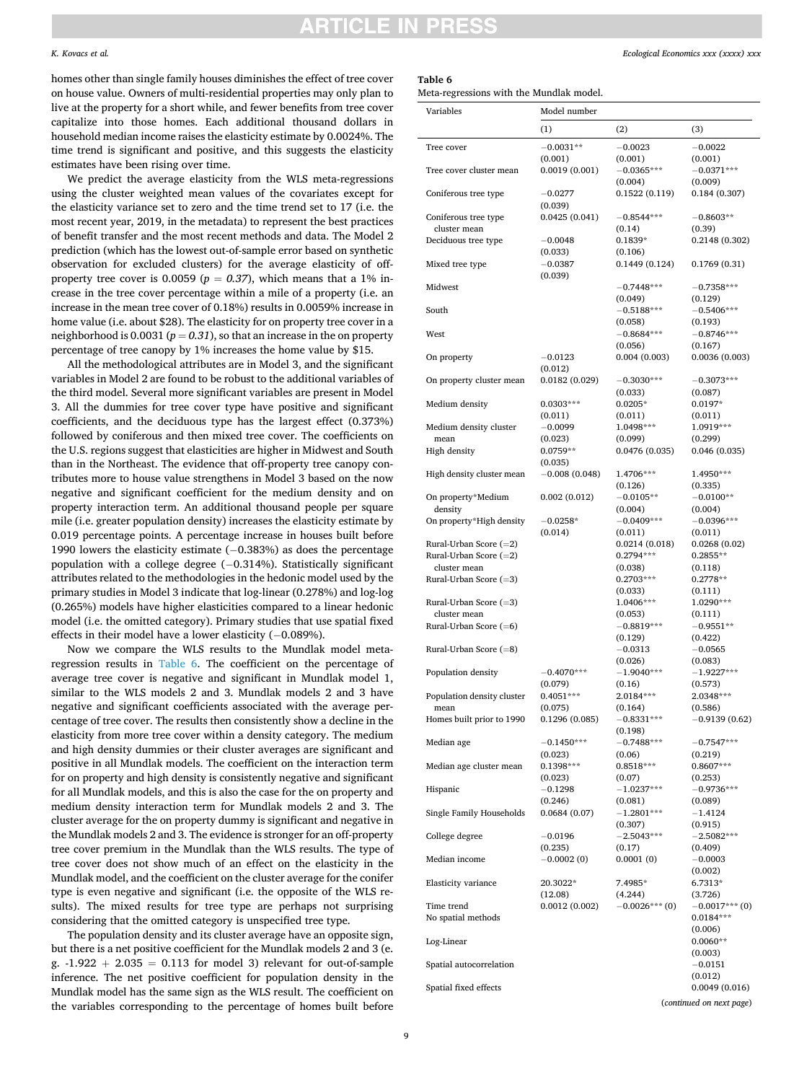### ICI E I

**Table 6** 

#### *K. Kovacs et al.*

homes other than single family houses diminishes the effect of tree cover on house value. Owners of multi-residential properties may only plan to live at the property for a short while, and fewer benefits from tree cover capitalize into those homes. Each additional thousand dollars in household median income raises the elasticity estimate by 0.0024%. The time trend is significant and positive, and this suggests the elasticity estimates have been rising over time.

We predict the average elasticity from the WLS meta-regressions using the cluster weighted mean values of the covariates except for the elasticity variance set to zero and the time trend set to 17 (i.e. the most recent year, 2019, in the metadata) to represent the best practices of benefit transfer and the most recent methods and data. The Model 2 prediction (which has the lowest out-of-sample error based on synthetic observation for excluded clusters) for the average elasticity of offproperty tree cover is 0.0059 ( $p = 0.37$ ), which means that a 1% increase in the tree cover percentage within a mile of a property (i.e. an increase in the mean tree cover of 0.18%) results in 0.0059% increase in home value (i.e. about \$28). The elasticity for on property tree cover in a neighborhood is 0.0031 ( $p = 0.31$ ), so that an increase in the on property percentage of tree canopy by 1% increases the home value by \$15.

All the methodological attributes are in Model 3, and the significant variables in Model 2 are found to be robust to the additional variables of the third model. Several more significant variables are present in Model 3. All the dummies for tree cover type have positive and significant coefficients, and the deciduous type has the largest effect (0.373%) followed by coniferous and then mixed tree cover. The coefficients on the U.S. regions suggest that elasticities are higher in Midwest and South than in the Northeast. The evidence that off-property tree canopy contributes more to house value strengthens in Model 3 based on the now negative and significant coefficient for the medium density and on property interaction term. An additional thousand people per square mile (i.e. greater population density) increases the elasticity estimate by 0.019 percentage points. A percentage increase in houses built before 1990 lowers the elasticity estimate (− 0.383%) as does the percentage population with a college degree (-0.314%). Statistically significant attributes related to the methodologies in the hedonic model used by the primary studies in Model 3 indicate that log-linear (0.278%) and log-log (0.265%) models have higher elasticities compared to a linear hedonic model (i.e. the omitted category). Primary studies that use spatial fixed effects in their model have a lower elasticity (− 0.089%).

Now we compare the WLS results to the Mundlak model metaregression results in Table 6. The coefficient on the percentage of average tree cover is negative and significant in Mundlak model 1, similar to the WLS models 2 and 3. Mundlak models 2 and 3 have negative and significant coefficients associated with the average percentage of tree cover. The results then consistently show a decline in the elasticity from more tree cover within a density category. The medium and high density dummies or their cluster averages are significant and positive in all Mundlak models. The coefficient on the interaction term for on property and high density is consistently negative and significant for all Mundlak models, and this is also the case for the on property and medium density interaction term for Mundlak models 2 and 3. The cluster average for the on property dummy is significant and negative in the Mundlak models 2 and 3. The evidence is stronger for an off-property tree cover premium in the Mundlak than the WLS results. The type of tree cover does not show much of an effect on the elasticity in the Mundlak model, and the coefficient on the cluster average for the conifer type is even negative and significant (i.e. the opposite of the WLS results). The mixed results for tree type are perhaps not surprising considering that the omitted category is unspecified tree type.

The population density and its cluster average have an opposite sign, but there is a net positive coefficient for the Mundlak models 2 and 3 (e. g.  $-1.922 + 2.035 = 0.113$  for model 3) relevant for out-of-sample inference. The net positive coefficient for population density in the Mundlak model has the same sign as the WLS result. The coefficient on the variables corresponding to the percentage of homes built before

Meta-regressions with the Mundlak model.

| . o-                                     |                            |                            |                          |
|------------------------------------------|----------------------------|----------------------------|--------------------------|
| Variables                                | Model number               |                            |                          |
|                                          | (1)                        | (2)                        | (3)                      |
| Tree cover                               | $-0.0031**$                | $-0.0023$                  | $-0.0022$                |
|                                          | (0.001)                    | (0.001)                    | (0.001)                  |
| Tree cover cluster mean                  | 0.0019(0.001)              | $-0.0365***$               | $-0.0371***$             |
|                                          |                            | (0.004)                    | (0.009)                  |
| Coniferous tree type                     | $-0.0277$<br>(0.039)       | 0.1522(0.119)              | 0.184(0.307)             |
| Coniferous tree type                     | 0.0425(0.041)              | $-0.8544***$               | $-0.8603**$              |
| cluster mean                             |                            | (0.14)                     | (0.39)                   |
| Deciduous tree type                      | $-0.0048$                  | $0.1839*$                  | 0.2148 (0.302)           |
|                                          | (0.033)                    | (0.106)                    |                          |
| Mixed tree type                          | $-0.0387$                  | 0.1449 (0.124)             | 0.1769 (0.31)            |
| Midwest                                  | (0.039)                    | $-0.7448***$               | $-0.7358***$             |
|                                          |                            | (0.049)                    | (0.129)                  |
| South                                    |                            | $-0.5188***$               | $-0.5406***$             |
|                                          |                            | (0.058)                    | (0.193)                  |
| West                                     |                            | $-0.8684***$               | $-0.8746***$             |
|                                          |                            | (0.056)                    | (0.167)                  |
| On property                              | $-0.0123$                  | 0.004(0.003)               | 0.0036(0.003)            |
| On property cluster mean                 | (0.012)<br>0.0182(0.029)   | $-0.3030***$               | $-0.3073***$             |
|                                          |                            | (0.033)                    | (0.087)                  |
| Medium density                           | $0.0303***$                | $0.0205*$                  | $0.0197*$                |
|                                          | (0.011)                    | (0.011)                    | (0.011)                  |
| Medium density cluster                   | $-0.0099$                  | 1.0498***                  | 1.0919***                |
| mean                                     | (0.023)                    | (0.099)                    | (0.299)                  |
| High density                             | 0.0759**                   | 0.0476 (0.035)             | 0.046(0.035)             |
| High density cluster mean                | (0.035)<br>$-0.008(0.048)$ | 1.4706***                  | 1.4950***                |
|                                          |                            | (0.126)                    | (0.335)                  |
| On property*Medium                       | 0.002(0.012)               | $-0.0105**$                | $-0.0100**$              |
| density                                  |                            | (0.004)                    | (0.004)                  |
| On property*High density                 | $-0.0258*$                 | $-0.0409***$               | $-0.0396***$             |
|                                          | (0.014)                    | (0.011)                    | (0.011)                  |
| Rural-Urban Score $(=2)$                 |                            | 0.0214(0.018)<br>0.2794*** | 0.0268(0.02)             |
| Rural-Urban Score $(=2)$<br>cluster mean |                            | (0.038)                    | $0.2855**$<br>(0.118)    |
| Rural-Urban Score $(=3)$                 |                            | 0.2703***                  | $0.2778**$               |
|                                          |                            | (0.033)                    | (0.111)                  |
| Rural-Urban Score $(=3)$                 |                            | 1.0406***                  | 1.0290***                |
| cluster mean                             |                            | (0.053)                    | (0.111)                  |
| Rural-Urban Score $(=6)$                 |                            | $-0.8819***$               | $-0.9551**$              |
| Rural-Urban Score (=8)                   |                            | (0.129)<br>$-0.0313$       | (0.422)<br>$-0.0565$     |
|                                          |                            | (0.026)                    | (0.083)                  |
| Population density                       | $-0.4070***$               | $-1.9040***$               | $-1.9227***$             |
|                                          | (0.079)                    | (0.16)                     | (0.573)                  |
| Population density cluster               | $0.4051***$                | 2.0184***                  | 2.0348***                |
|                                          | (0.075)                    | (0.164)                    | (0.586)                  |
| Homes built prior to 1990                | 0.1296 (0.085)             | $-0.8331***$               | $-0.9139(0.62)$          |
| Median age                               | $-0.1450***$               | (0.198)<br>$-0.7488***$    | $-0.7547***$             |
|                                          | (0.023)                    | (0.06)                     | (0.219)                  |
| Median age cluster mean                  | $0.1398***$                | $0.8518***$                | 0.8607***                |
|                                          | (0.023)                    | (0.07)                     | (0.253)                  |
| Hispanic                                 | $-0.1298$                  | $-1.0237***$               | $-0.9736***$             |
|                                          | (0.246)                    | (0.081)                    | (0.089)                  |
| Single Family Households                 | 0.0684(0.07)               | $-1.2801***$<br>(0.307)    | $-1.4124$                |
| College degree                           | $-0.0196$                  | $-2.5043***$               | (0.915)<br>$-2.5082***$  |
|                                          | (0.235)                    | (0.17)                     | (0.409)                  |
| Median income                            | $-0.0002(0)$               | 0.0001(0)                  | $-0.0003$                |
|                                          |                            |                            | (0.002)                  |
| Elasticity variance                      | 20.3022*                   | 7.4985*                    | 6.7313*                  |
|                                          | (12.08)                    | (4.244)                    | (3.726)                  |
| Time trend                               | 0.0012(0.002)              | $-0.0026$ *** $(0)$        | $-0.0017***$ (0)         |
| No spatial methods                       |                            |                            | $0.0184***$<br>(0.006)   |
| Log-Linear                               |                            |                            | $0.0060**$               |
|                                          |                            |                            | (0.003)                  |
| Spatial autocorrelation                  |                            |                            | $-0.0151$                |
|                                          |                            |                            | (0.012)                  |
| Spatial fixed effects                    |                            |                            | 0.0049(0.016)            |
|                                          |                            |                            | (continued on next page) |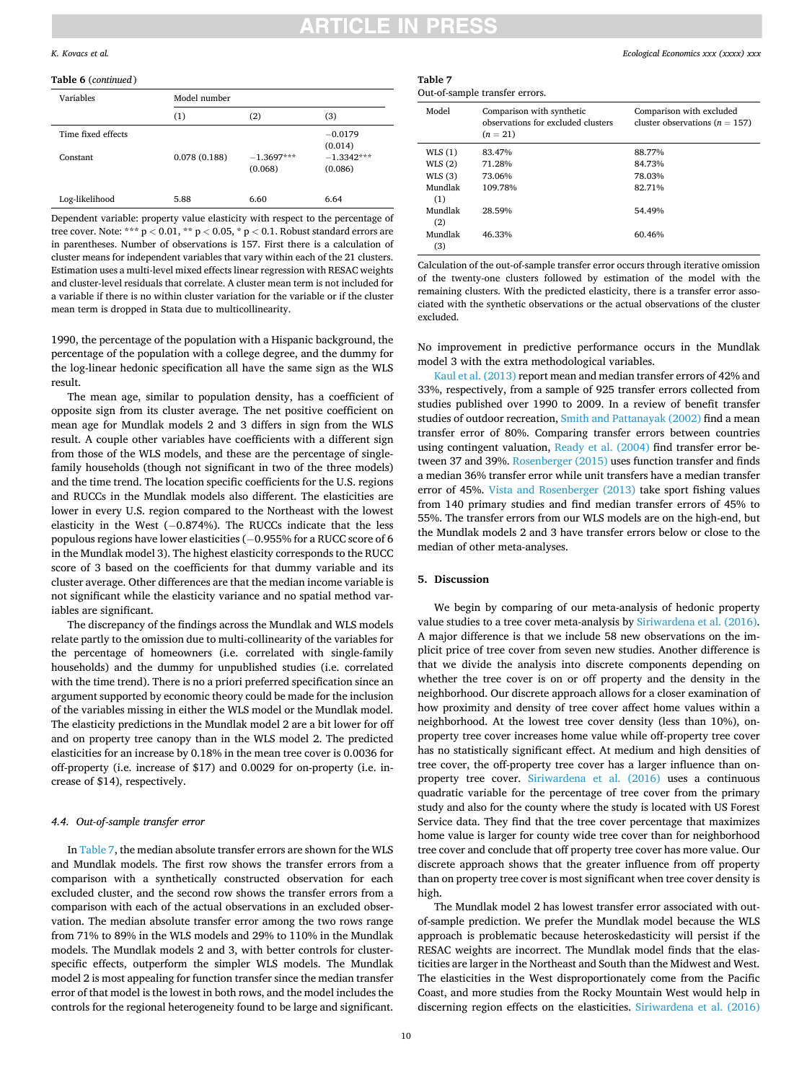## RTICLE IN PRE

#### *K. Kovacs et al.*

#### **Table 6** (*continued* )

| Variables                      | Model number |                 |                                      |  |  |
|--------------------------------|--------------|-----------------|--------------------------------------|--|--|
|                                | (1)          | (2)             | (3)                                  |  |  |
| Time fixed effects<br>Constant | 0.078(0.188) | $-1.3697***$    | $-0.0179$<br>(0.014)<br>$-1.3342***$ |  |  |
| Log-likelihood                 | 5.88         | (0.068)<br>6.60 | (0.086)<br>6.64                      |  |  |

Dependent variable: property value elasticity with respect to the percentage of tree cover. Note: \*\*\* p *<* 0.01, \*\* p *<* 0.05, \* p *<* 0.1. Robust standard errors are in parentheses. Number of observations is 157. First there is a calculation of cluster means for independent variables that vary within each of the 21 clusters. Estimation uses a multi-level mixed effects linear regression with RESAC weights and cluster-level residuals that correlate. A cluster mean term is not included for a variable if there is no within cluster variation for the variable or if the cluster mean term is dropped in Stata due to multicollinearity.

1990, the percentage of the population with a Hispanic background, the percentage of the population with a college degree, and the dummy for the log-linear hedonic specification all have the same sign as the WLS result.

The mean age, similar to population density, has a coefficient of opposite sign from its cluster average. The net positive coefficient on mean age for Mundlak models 2 and 3 differs in sign from the WLS result. A couple other variables have coefficients with a different sign from those of the WLS models, and these are the percentage of singlefamily households (though not significant in two of the three models) and the time trend. The location specific coefficients for the U.S. regions and RUCCs in the Mundlak models also different. The elasticities are lower in every U.S. region compared to the Northeast with the lowest elasticity in the West  $(-0.874%)$ . The RUCCs indicate that the less populous regions have lower elasticities (− 0.955% for a RUCC score of 6 in the Mundlak model 3). The highest elasticity corresponds to the RUCC score of 3 based on the coefficients for that dummy variable and its cluster average. Other differences are that the median income variable is not significant while the elasticity variance and no spatial method variables are significant.

The discrepancy of the findings across the Mundlak and WLS models relate partly to the omission due to multi-collinearity of the variables for the percentage of homeowners (i.e. correlated with single-family households) and the dummy for unpublished studies (i.e. correlated with the time trend). There is no a priori preferred specification since an argument supported by economic theory could be made for the inclusion of the variables missing in either the WLS model or the Mundlak model. The elasticity predictions in the Mundlak model 2 are a bit lower for off and on property tree canopy than in the WLS model 2. The predicted elasticities for an increase by 0.18% in the mean tree cover is 0.0036 for off-property (i.e. increase of \$17) and 0.0029 for on-property (i.e. increase of \$14), respectively.

#### *4.4. Out-of-sample transfer error*

In Table 7, the median absolute transfer errors are shown for the WLS and Mundlak models. The first row shows the transfer errors from a comparison with a synthetically constructed observation for each excluded cluster, and the second row shows the transfer errors from a comparison with each of the actual observations in an excluded observation. The median absolute transfer error among the two rows range from 71% to 89% in the WLS models and 29% to 110% in the Mundlak models. The Mundlak models 2 and 3, with better controls for clusterspecific effects, outperform the simpler WLS models. The Mundlak model 2 is most appealing for function transfer since the median transfer error of that model is the lowest in both rows, and the model includes the controls for the regional heterogeneity found to be large and significant.

#### *Ecological Economics xxx (xxxx) xxx*

| Table 7                        |  |
|--------------------------------|--|
| Out-of-sample transfer errors. |  |

| Model   | Comparison with synthetic<br>observations for excluded clusters<br>$(n = 21)$ | Comparison with excluded<br>cluster observations $(n = 157)$ |
|---------|-------------------------------------------------------------------------------|--------------------------------------------------------------|
| WLS(1)  | 83.47%                                                                        | 88.77%                                                       |
| WLS(2)  | 71.28%                                                                        | 84.73%                                                       |
| WLS(3)  | 73.06%                                                                        | 78.03%                                                       |
| Mundlak | 109.78%                                                                       | 82.71%                                                       |
| (1)     |                                                                               |                                                              |
| Mundlak | 28.59%                                                                        | 54.49%                                                       |
| (2)     |                                                                               |                                                              |
| Mundlak | 46.33%                                                                        | 60.46%                                                       |
| (3)     |                                                                               |                                                              |

Calculation of the out-of-sample transfer error occurs through iterative omission of the twenty-one clusters followed by estimation of the model with the remaining clusters. With the predicted elasticity, there is a transfer error associated with the synthetic observations or the actual observations of the cluster excluded.

No improvement in predictive performance occurs in the Mundlak model 3 with the extra methodological variables.

[Kaul et al. \(2013\)](#page-12-0) report mean and median transfer errors of 42% and 33%, respectively, from a sample of 925 transfer errors collected from studies published over 1990 to 2009. In a review of benefit transfer studies of outdoor recreation, [Smith and Pattanayak \(2002\)](#page-12-0) find a mean transfer error of 80%. Comparing transfer errors between countries using contingent valuation, [Ready et al. \(2004\)](#page-12-0) find transfer error between 37 and 39%. [Rosenberger \(2015\)](#page-12-0) uses function transfer and finds a median 36% transfer error while unit transfers have a median transfer error of 45%. [Vista and Rosenberger \(2013\)](#page-12-0) take sport fishing values from 140 primary studies and find median transfer errors of 45% to 55%. The transfer errors from our WLS models are on the high-end, but the Mundlak models 2 and 3 have transfer errors below or close to the median of other meta-analyses.

#### **5. Discussion**

We begin by comparing of our meta-analysis of hedonic property value studies to a tree cover meta-analysis by [Siriwardena et al. \(2016\)](#page-12-0). A major difference is that we include 58 new observations on the implicit price of tree cover from seven new studies. Another difference is that we divide the analysis into discrete components depending on whether the tree cover is on or off property and the density in the neighborhood. Our discrete approach allows for a closer examination of how proximity and density of tree cover affect home values within a neighborhood. At the lowest tree cover density (less than 10%), onproperty tree cover increases home value while off-property tree cover has no statistically significant effect. At medium and high densities of tree cover, the off-property tree cover has a larger influence than onproperty tree cover. [Siriwardena et al. \(2016\)](#page-12-0) uses a continuous quadratic variable for the percentage of tree cover from the primary study and also for the county where the study is located with US Forest Service data. They find that the tree cover percentage that maximizes home value is larger for county wide tree cover than for neighborhood tree cover and conclude that off property tree cover has more value. Our discrete approach shows that the greater influence from off property than on property tree cover is most significant when tree cover density is high.

The Mundlak model 2 has lowest transfer error associated with outof-sample prediction. We prefer the Mundlak model because the WLS approach is problematic because heteroskedasticity will persist if the RESAC weights are incorrect. The Mundlak model finds that the elasticities are larger in the Northeast and South than the Midwest and West. The elasticities in the West disproportionately come from the Pacific Coast, and more studies from the Rocky Mountain West would help in discerning region effects on the elasticities. [Siriwardena et al. \(2016\)](#page-12-0)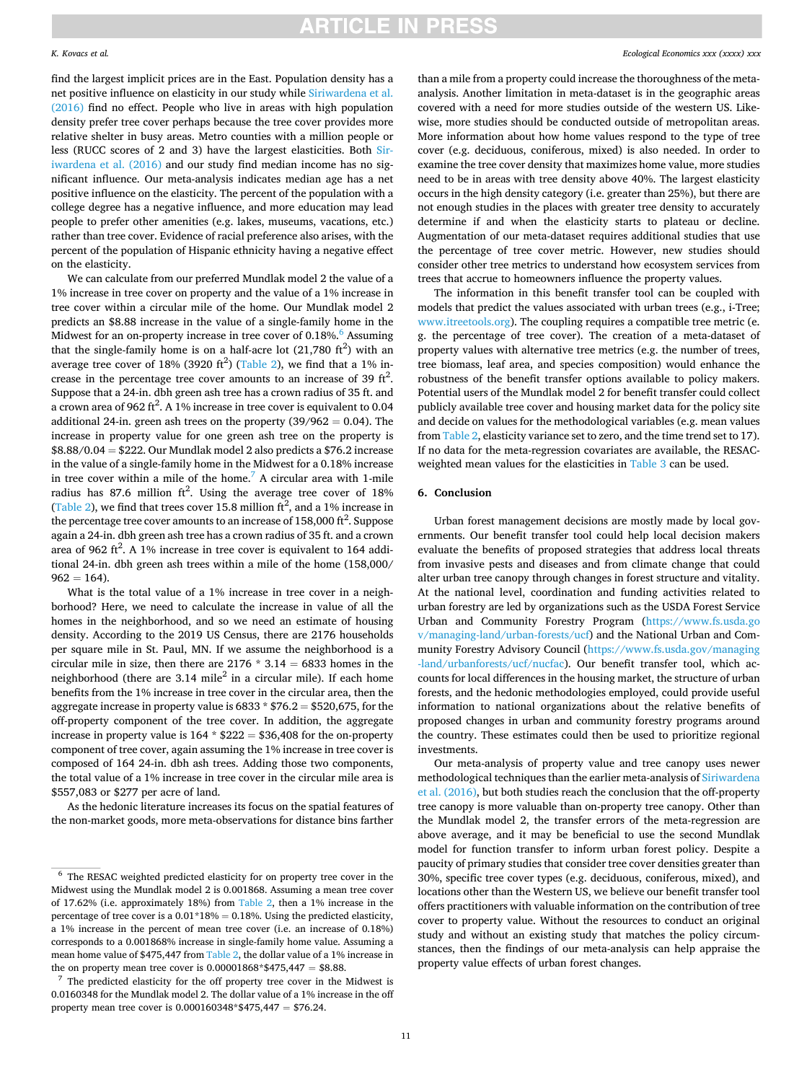#### *K. Kovacs et al.*

find the largest implicit prices are in the East. Population density has a net positive influence on elasticity in our study while [Siriwardena et al.](#page-12-0)  [\(2016\)](#page-12-0) find no effect. People who live in areas with high population density prefer tree cover perhaps because the tree cover provides more relative shelter in busy areas. Metro counties with a million people or less (RUCC scores of 2 and 3) have the largest elasticities. Both [Sir](#page-12-0)[iwardena et al. \(2016\)](#page-12-0) and our study find median income has no significant influence. Our meta-analysis indicates median age has a net positive influence on the elasticity. The percent of the population with a college degree has a negative influence, and more education may lead people to prefer other amenities (e.g. lakes, museums, vacations, etc.) rather than tree cover. Evidence of racial preference also arises, with the percent of the population of Hispanic ethnicity having a negative effect on the elasticity.

We can calculate from our preferred Mundlak model 2 the value of a 1% increase in tree cover on property and the value of a 1% increase in tree cover within a circular mile of the home. Our Mundlak model 2 predicts an \$8.88 increase in the value of a single-family home in the Midwest for an on-property increase in tree cover of  $0.18\%$ . Assuming that the single-family home is on a half-acre lot  $(21,780 \text{ ft}^2)$  with an average tree cover of  $18\%$  (3920 ft<sup>2</sup>) [\(Table 2](#page-3-0)), we find that a  $1\%$  increase in the percentage tree cover amounts to an increase of 39  $\text{ft}^2$ . Suppose that a 24-in. dbh green ash tree has a crown radius of 35 ft. and a crown area of 962 ft<sup>2</sup>. A 1% increase in tree cover is equivalent to 0.04 additional 24-in. green ash trees on the property  $(39/962 = 0.04)$ . The increase in property value for one green ash tree on the property is \$8.88/0.04 = \$222. Our Mundlak model 2 also predicts a \$76.2 increase in the value of a single-family home in the Midwest for a 0.18% increase in tree cover within a mile of the home.<sup>7</sup> A circular area with 1-mile radius has 87.6 million  $ft^2$ . Using the average tree cover of 18% ([Table 2\)](#page-3-0), we find that trees cover 15.8 million  $\text{ft}^2$ , and a 1% increase in the percentage tree cover amounts to an increase of 158,000 ft<sup>2</sup>. Suppose again a 24-in. dbh green ash tree has a crown radius of 35 ft. and a crown area of 962 ft<sup>2</sup>. A 1% increase in tree cover is equivalent to 164 additional 24-in. dbh green ash trees within a mile of the home (158,000/  $962 = 164$ .

What is the total value of a 1% increase in tree cover in a neighborhood? Here, we need to calculate the increase in value of all the homes in the neighborhood, and so we need an estimate of housing density. According to the 2019 US Census, there are 2176 households per square mile in St. Paul, MN. If we assume the neighborhood is a circular mile in size, then there are  $2176 * 3.14 = 6833$  homes in the neighborhood (there are  $3.14$  mile<sup>2</sup> in a circular mile). If each home benefits from the 1% increase in tree cover in the circular area, then the aggregate increase in property value is  $6833 * $76.2 = $520,675$ , for the off-property component of the tree cover. In addition, the aggregate increase in property value is  $164 * $222 = $36,408$  for the on-property component of tree cover, again assuming the 1% increase in tree cover is composed of 164 24-in. dbh ash trees. Adding those two components, the total value of a 1% increase in tree cover in the circular mile area is \$557,083 or \$277 per acre of land.

As the hedonic literature increases its focus on the spatial features of the non-market goods, more meta-observations for distance bins farther

0.0160348 for the Mundlak model 2. The dollar value of a 1% increase in the off property mean tree cover is 0.000160348\*\$475,447 = \$76.24.

than a mile from a property could increase the thoroughness of the metaanalysis. Another limitation in meta-dataset is in the geographic areas covered with a need for more studies outside of the western US. Likewise, more studies should be conducted outside of metropolitan areas. More information about how home values respond to the type of tree cover (e.g. deciduous, coniferous, mixed) is also needed. In order to examine the tree cover density that maximizes home value, more studies need to be in areas with tree density above 40%. The largest elasticity occurs in the high density category (i.e. greater than 25%), but there are not enough studies in the places with greater tree density to accurately determine if and when the elasticity starts to plateau or decline. Augmentation of our meta-dataset requires additional studies that use the percentage of tree cover metric. However, new studies should consider other tree metrics to understand how ecosystem services from trees that accrue to homeowners influence the property values.

The information in this benefit transfer tool can be coupled with models that predict the values associated with urban trees (e.g., i-Tree; [www.itreetools.org](http://www.itreetools.org)). The coupling requires a compatible tree metric (e. g. the percentage of tree cover). The creation of a meta-dataset of property values with alternative tree metrics (e.g. the number of trees, tree biomass, leaf area, and species composition) would enhance the robustness of the benefit transfer options available to policy makers. Potential users of the Mundlak model 2 for benefit transfer could collect publicly available tree cover and housing market data for the policy site and decide on values for the methodological variables (e.g. mean values from [Table 2,](#page-3-0) elasticity variance set to zero, and the time trend set to 17). If no data for the meta-regression covariates are available, the RESACweighted mean values for the elasticities in [Table 3](#page-6-0) can be used.

#### **6. Conclusion**

Urban forest management decisions are mostly made by local governments. Our benefit transfer tool could help local decision makers evaluate the benefits of proposed strategies that address local threats from invasive pests and diseases and from climate change that could alter urban tree canopy through changes in forest structure and vitality. At the national level, coordination and funding activities related to urban forestry are led by organizations such as the USDA Forest Service Urban and Community Forestry Program [\(https://www.fs.usda.go](https://www.fs.usda.gov/managing-land/urban-forests/ucf)  [v/managing-land/urban-forests/ucf](https://www.fs.usda.gov/managing-land/urban-forests/ucf)) and the National Urban and Community Forestry Advisory Council [\(https://www.fs.usda.gov/managing](https://www.fs.usda.gov/managing-land/urbanforests/ucf/nucfac)  [-land/urbanforests/ucf/nucfac\)](https://www.fs.usda.gov/managing-land/urbanforests/ucf/nucfac). Our benefit transfer tool, which accounts for local differences in the housing market, the structure of urban forests, and the hedonic methodologies employed, could provide useful information to national organizations about the relative benefits of proposed changes in urban and community forestry programs around the country. These estimates could then be used to prioritize regional investments.

Our meta-analysis of property value and tree canopy uses newer methodological techniques than the earlier meta-analysis of [Siriwardena](#page-12-0)  [et al. \(2016\),](#page-12-0) but both studies reach the conclusion that the off-property tree canopy is more valuable than on-property tree canopy. Other than the Mundlak model 2, the transfer errors of the meta-regression are above average, and it may be beneficial to use the second Mundlak model for function transfer to inform urban forest policy. Despite a paucity of primary studies that consider tree cover densities greater than 30%, specific tree cover types (e.g. deciduous, coniferous, mixed), and locations other than the Western US, we believe our benefit transfer tool offers practitioners with valuable information on the contribution of tree cover to property value. Without the resources to conduct an original study and without an existing study that matches the policy circumstances, then the findings of our meta-analysis can help appraise the property value effects of urban forest changes.

 $^6\,$  The RESAC weighted predicted elasticity for on property tree cover in the Midwest using the Mundlak model 2 is 0.001868. Assuming a mean tree cover of 17.62% (i.e. approximately 18%) from [Table 2,](#page-3-0) then a 1% increase in the percentage of tree cover is a  $0.01*18\% = 0.18\%$ . Using the predicted elasticity, a 1% increase in the percent of mean tree cover (i.e. an increase of 0.18%) corresponds to a 0.001868% increase in single-family home value. Assuming a mean home value of \$475,447 from [Table 2,](#page-3-0) the dollar value of a 1% increase in the on property mean tree cover is  $0.00001868*$475,447 = $8.88$ .<br><sup>7</sup> The predicted elasticity for the off property tree cover in the Midwest is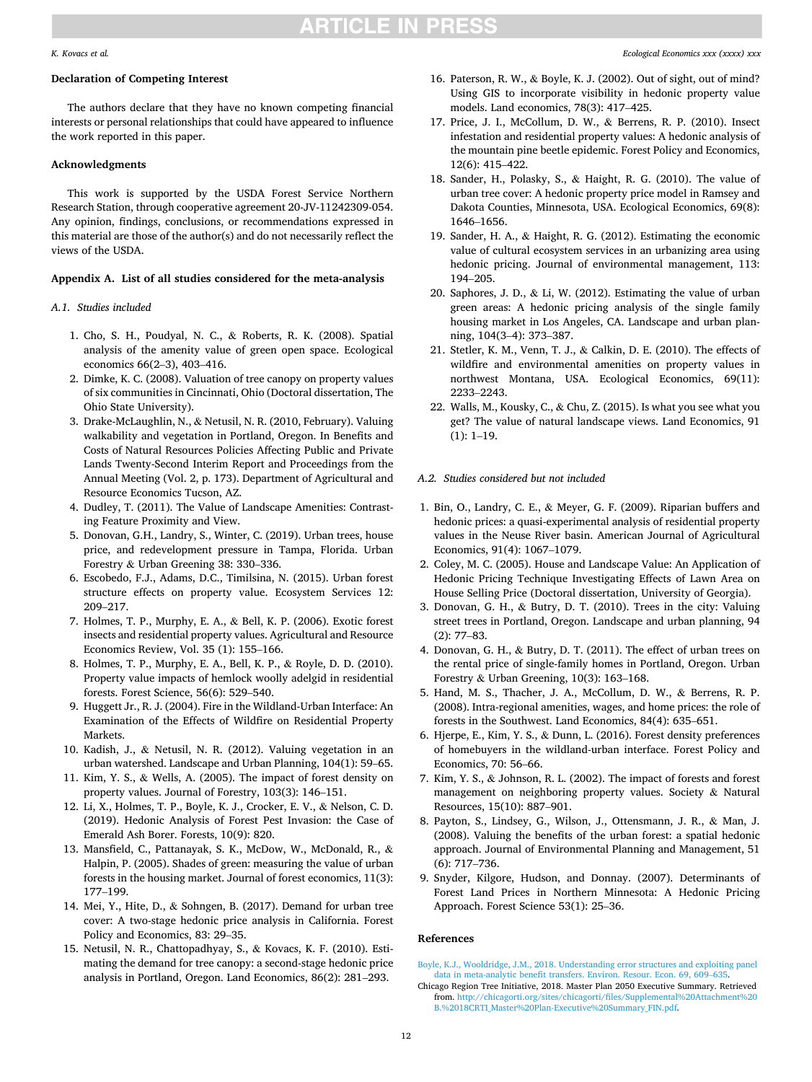#### *Ecological Economics xxx (xxxx) xxx*

#### <span id="page-11-0"></span>*K. Kovacs et al.*

### **Declaration of Competing Interest**

The authors declare that they have no known competing financial interests or personal relationships that could have appeared to influence the work reported in this paper.

#### **Acknowledgments**

This work is supported by the USDA Forest Service Northern Research Station, through cooperative agreement 20-JV-11242309-054. Any opinion, findings, conclusions, or recommendations expressed in this material are those of the author(s) and do not necessarily reflect the views of the USDA.

#### **Appendix A. List of all studies considered for the meta-analysis**

#### *A.1. Studies included*

- 1. Cho, S. H., Poudyal, N. C., & Roberts, R. K. (2008). Spatial analysis of the amenity value of green open space. Ecological economics 66(2–3), 403–416.
- 2. Dimke, K. C. (2008). Valuation of tree canopy on property values of six communities in Cincinnati, Ohio (Doctoral dissertation, The Ohio State University).
- 3. Drake-McLaughlin, N., & Netusil, N. R. (2010, February). Valuing walkability and vegetation in Portland, Oregon. In Benefits and Costs of Natural Resources Policies Affecting Public and Private Lands Twenty-Second Interim Report and Proceedings from the Annual Meeting (Vol. 2, p. 173). Department of Agricultural and Resource Economics Tucson, AZ.
- 4. Dudley, T. (2011). The Value of Landscape Amenities: Contrasting Feature Proximity and View.
- 5. Donovan, G.H., Landry, S., Winter, C. (2019). Urban trees, house price, and redevelopment pressure in Tampa, Florida. Urban Forestry & Urban Greening 38: 330–336.
- 6. Escobedo, F.J., Adams, D.C., Timilsina, N. (2015). Urban forest structure effects on property value. Ecosystem Services 12: 209–217.
- 7. Holmes, T. P., Murphy, E. A., & Bell, K. P. (2006). Exotic forest insects and residential property values. Agricultural and Resource Economics Review, Vol. 35 (1): 155–166.
- 8. Holmes, T. P., Murphy, E. A., Bell, K. P., & Royle, D. D. (2010). Property value impacts of hemlock woolly adelgid in residential forests. Forest Science, 56(6): 529–540.
- 9. Huggett Jr., R. J. (2004). Fire in the Wildland-Urban Interface: An Examination of the Effects of Wildfire on Residential Property Markets.
- 10. Kadish, J., & Netusil, N. R. (2012). Valuing vegetation in an urban watershed. Landscape and Urban Planning, 104(1): 59–65.
- 11. Kim, Y. S., & Wells, A. (2005). The impact of forest density on property values. Journal of Forestry, 103(3): 146–151.
- 12. Li, X., Holmes, T. P., Boyle, K. J., Crocker, E. V., & Nelson, C. D. (2019). Hedonic Analysis of Forest Pest Invasion: the Case of Emerald Ash Borer. Forests, 10(9): 820.
- 13. Mansfield, C., Pattanayak, S. K., McDow, W., McDonald, R., & Halpin, P. (2005). Shades of green: measuring the value of urban forests in the housing market. Journal of forest economics, 11(3): 177–199.
- 14. Mei, Y., Hite, D., & Sohngen, B. (2017). Demand for urban tree cover: A two-stage hedonic price analysis in California. Forest Policy and Economics, 83: 29–35.
- 15. Netusil, N. R., Chattopadhyay, S., & Kovacs, K. F. (2010). Estimating the demand for tree canopy: a second-stage hedonic price analysis in Portland, Oregon. Land Economics, 86(2): 281–293.
- 16. Paterson, R. W., & Boyle, K. J. (2002). Out of sight, out of mind? Using GIS to incorporate visibility in hedonic property value models. Land economics, 78(3): 417–425.
- 17. Price, J. I., McCollum, D. W., & Berrens, R. P. (2010). Insect infestation and residential property values: A hedonic analysis of the mountain pine beetle epidemic. Forest Policy and Economics, 12(6): 415–422.
- 18. Sander, H., Polasky, S., & Haight, R. G. (2010). The value of urban tree cover: A hedonic property price model in Ramsey and Dakota Counties, Minnesota, USA. Ecological Economics, 69(8): 1646–1656.
- 19. Sander, H. A., & Haight, R. G. (2012). Estimating the economic value of cultural ecosystem services in an urbanizing area using hedonic pricing. Journal of environmental management, 113: 194–205.
- 20. Saphores, J. D., & Li, W. (2012). Estimating the value of urban green areas: A hedonic pricing analysis of the single family housing market in Los Angeles, CA. Landscape and urban planning, 104(3–4): 373–387.
- 21. Stetler, K. M., Venn, T. J., & Calkin, D. E. (2010). The effects of wildfire and environmental amenities on property values in northwest Montana, USA. Ecological Economics, 69(11): 2233–2243.
- 22. Walls, M., Kousky, C., & Chu, Z. (2015). Is what you see what you get? The value of natural landscape views. Land Economics, 91  $(1): 1-19.$

#### *A.2. Studies considered but not included*

- 1. Bin, O., Landry, C. E., & Meyer, G. F. (2009). Riparian buffers and hedonic prices: a quasi-experimental analysis of residential property values in the Neuse River basin. American Journal of Agricultural Economics, 91(4): 1067–1079.
- 2. Coley, M. C. (2005). House and Landscape Value: An Application of Hedonic Pricing Technique Investigating Effects of Lawn Area on House Selling Price (Doctoral dissertation, University of Georgia).
- 3. Donovan, G. H., & Butry, D. T. (2010). Trees in the city: Valuing street trees in Portland, Oregon. Landscape and urban planning, 94 (2): 77–83.
- 4. Donovan, G. H., & Butry, D. T. (2011). The effect of urban trees on the rental price of single-family homes in Portland, Oregon. Urban Forestry & Urban Greening, 10(3): 163–168.
- 5. Hand, M. S., Thacher, J. A., McCollum, D. W., & Berrens, R. P. (2008). Intra-regional amenities, wages, and home prices: the role of forests in the Southwest. Land Economics, 84(4): 635–651.
- 6. Hjerpe, E., Kim, Y. S., & Dunn, L. (2016). Forest density preferences of homebuyers in the wildland-urban interface. Forest Policy and Economics, 70: 56–66.
- 7. Kim, Y. S., & Johnson, R. L. (2002). The impact of forests and forest management on neighboring property values. Society & Natural Resources, 15(10): 887–901.
- 8. Payton, S., Lindsey, G., Wilson, J., Ottensmann, J. R., & Man, J. (2008). Valuing the benefits of the urban forest: a spatial hedonic approach. Journal of Environmental Planning and Management, 51 (6): 717–736.
- 9. Snyder, Kilgore, Hudson, and Donnay. (2007). Determinants of Forest Land Prices in Northern Minnesota: A Hedonic Pricing Approach. Forest Science 53(1): 25–36.

#### **References**

[Boyle, K.J., Wooldridge, J.M., 2018. Understanding error structures and exploiting panel](http://refhub.elsevier.com/S0921-8009(22)00086-6/rf0005)  [data in meta-analytic benefit transfers. Environ. Resour. Econ. 69, 609](http://refhub.elsevier.com/S0921-8009(22)00086-6/rf0005)–635.

Chicago Region Tree Initiative, 2018. Master Plan 2050 Executive Summary. Retrieved from. [http://chicagorti.org/sites/chicagorti/files/Supplemental%20Attachment%20](http://chicagorti.org/sites/chicagorti/files/Supplemental%20Attachment%20B.%2018CRTI_Master%20Plan-Executive%20Summary_FIN.pdf)  [B.%2018CRTI\\_Master%20Plan-Executive%20Summary\\_FIN.pdf.](http://chicagorti.org/sites/chicagorti/files/Supplemental%20Attachment%20B.%2018CRTI_Master%20Plan-Executive%20Summary_FIN.pdf)